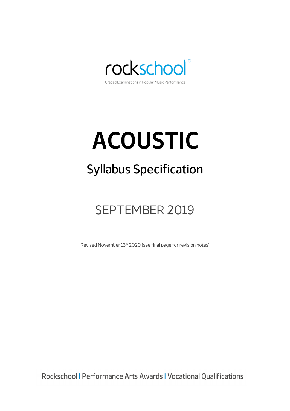

## **ACOUSTIC**

## Syllabus Specification

## SEPTEMBER 2019

Revised November 13<sup>th</sup> 2020 (see final page for revision notes)

Rockschool | Performance Arts Awards | Vocational Qualifications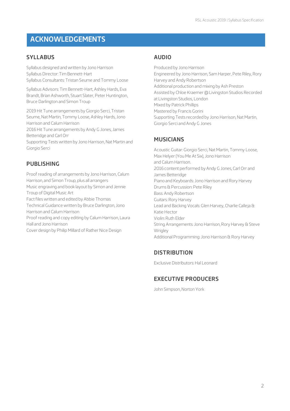### **ACKNOWLEDGEMENTS**

### **SYLLABUS**

Syllabus designed and written by Jono Harrison Syllabus Director: Tim Bennett-Hart Syllabus Consultants: Tristan Seume and Tommy Loose

Syllabus Advisors: Tim Bennett-Hart, Ashley Hards, Eva Brandt, Brian Ashworth, Stuart Slater, Peter Huntington, Bruce Darlington and Simon Troup

2019 Hit Tune arrangements by Giorgio Serci, Tristan Seume, Nat Martin, Tommy Loose, Ashley Hards, Jono Harrison and Calum Harrison

2016 Hit Tune arrangements by Andy G Jones, James Betteridge and Carl Orr

Supporting Tests written by Jono Harrison, Nat Martin and Giorgio Serci

### **PUBLISHING**

Proof reading of arrangements by Jono Harrison, Calum Harrison, and Simon Troup, plus all arrangers Music engraving and book layout by Simon and Jennie Troup of Digital Music Art Fact files written and edited by Abbie Thomas Technical Guidance written by Bruce Darlington, Jono Harrison and Calum Harrison

Proof reading and copy editing by Calum Harrison, Laura Hall and Jono Harrison

Cover design by Philip Millard of Rather Nice Design

### **AUDIO**

Produced by Jono Harrison Engineered by Jono Harrison, Sam Harper, Pete Riley, Rory Harvey and Andy Robertson Additional production and mixing by Ash Preston Assisted by Chloe Kraemer @ Livingston Studios Recorded at Livingston Studios, London Mixed by Patrick Phillips Mastered by Francis Gorini Supporting Tests recorded by Jono Harrison, Nat Martin, Giorgio Serci and Andy G Jones

### **MUSICIANS**

Acoustic Guitar: Giorgio Serci, Nat Martin, Tommy Loose, Max Helyer (You Me At Six), Jono Harrison and Calum Harrison. 2016 content performed by Andy G Jones, Carl Orr and James Betteridge Piano and Keyboards: Jono Harrison and Rory Harvey Drums & Percussion: Pete Riley Bass: Andy Robertson Guitars: Rory Harvey Lead and Backing Vocals: Glen Harvey, Charlie Calleja & Katie Hector Violin: Ruth Elder String Arrangements: Jono Harrison, Rory Harvey & Steve Wrigley Additional Programming: Jono Harrison & Rory Harvey

### **DISTRIBUTION**

Exclusive Distributors: Hal Leonard

### **EXECUTIVE PRODUCERS**

John Simpson, Norton York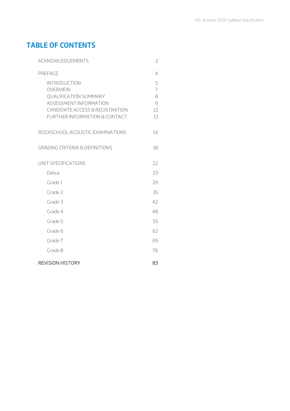### **TABLE OF CONTENTS**

| ACKNOWLEDGEMENTS                                                                                                                                              |                                           |  |  |  |  |
|---------------------------------------------------------------------------------------------------------------------------------------------------------------|-------------------------------------------|--|--|--|--|
| PREFACE                                                                                                                                                       | 4                                         |  |  |  |  |
| <b>INTRODUCTION</b><br>OVERVIEW<br><b>QUALIFICATION SUMMARY</b><br>ASSESSMENT INFORMATION<br>CANDIDATE ACCESS & REGISTRATION<br>FURTHER INFORMATION & CONTACT | 5<br>$\overline{1}$<br>8<br>9<br>12<br>13 |  |  |  |  |
| ROCKSCHOOL ACOUSTIC EXAMINATIONS                                                                                                                              | 14                                        |  |  |  |  |
| <b>GRADING CRITERIA &amp; DEFINITIONS</b>                                                                                                                     | 18                                        |  |  |  |  |
| UNIT SPECIFICATIONS                                                                                                                                           | 22                                        |  |  |  |  |
| Debut                                                                                                                                                         | 23                                        |  |  |  |  |
| Grade 1                                                                                                                                                       | 29                                        |  |  |  |  |
| Grade 2                                                                                                                                                       | 35                                        |  |  |  |  |
| Grade 3                                                                                                                                                       | 42                                        |  |  |  |  |
| Grade 4                                                                                                                                                       | 48                                        |  |  |  |  |
| Grade 5                                                                                                                                                       | 55                                        |  |  |  |  |
| Grade 6                                                                                                                                                       | 62                                        |  |  |  |  |
| Grade 7                                                                                                                                                       | 69                                        |  |  |  |  |
| Grade 8                                                                                                                                                       | 76                                        |  |  |  |  |
| <b>REVISION HISTORY</b>                                                                                                                                       | 83                                        |  |  |  |  |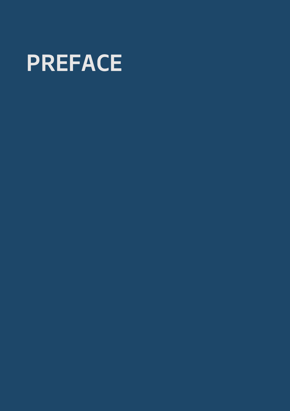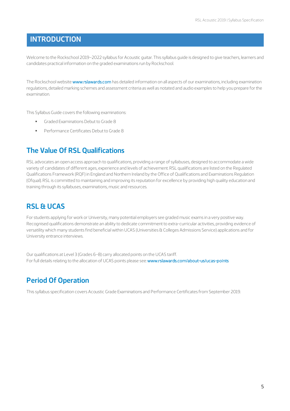### **INTRODUCTION**

Welcome to the Rockschool 2019–2022 syllabus for Acoustic guitar. This syllabus guide is designed to give teachers, learners and candidates practical information on the graded examinations run by Rockschool.

The Rockschool website www.rslawards.com has detailed information on all aspects of our examinations, including examination regulations, detailed marking schemes and assessment criteria as well as notated and audio examples to help you prepare for the examination.

This Syllabus Guide covers the following examinations:

- § Graded Examinations Debut to Grade 8
- § Performance Certificates Debut to Grade 8

### **The Value Of RSL Qualifications**

RSL advocates an open access approach to qualifications, providing a range of syllabuses, designed to accommodate a wide variety of candidates of different ages, experience and levels of achievement. RSL qualifications are listed on the Regulated Qualifications Framework (RQF) in England and Northern Ireland by the Office of Qualifications and Examinations Regulation (Ofqual). RSL is committed to maintaining and improving its reputation for excellence by providing high quality education and training through its syllabuses, examinations, music and resources.

### **RSL & UCAS**

For students applying for work or University, many potential employers see graded music exams in a very positive way. Recognised qualifications demonstrate an ability to dedicate commitment to extra-curricular activities, providing evidence of versatility which many students find beneficial within UCAS (Universities & Colleges Admissions Service) applications and for University entrance interviews.

Our qualifications at Level 3 (Grades 6–8) carry allocated points on the UCAS tariff. For full details relating to the allocation of UCAS points please see: www.rslawards.com/about-us/ucas-points

### **Period Of Operation**

This syllabus specification covers Acoustic Grade Examinations and Performance Certificates from September 2019.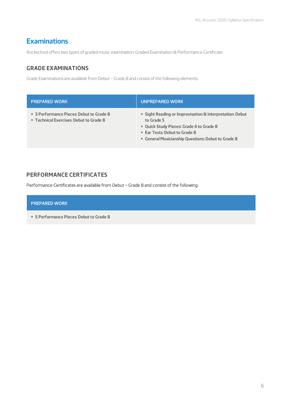### **Examinations**

Rockschool offers two types of graded music examination: Graded Examination & Performance Certificate

### **GRADE EXAMINATIONS**

Grade Examinations are available from Debut – Grade 8 and consist of the following elements:

| <b>PREPARED WORK</b>                                                                | UNPREPARED WORK                                                                                                                                                                                           |
|-------------------------------------------------------------------------------------|-----------------------------------------------------------------------------------------------------------------------------------------------------------------------------------------------------------|
| • 3 Performance Pieces: Debut to Grade 8<br>" Technical Exercises: Debut to Grade 8 | • Sight Reading or Improvisation & Interpretation: Debut<br>to Grade 5<br>" Quick Study Pieces: Grade 6 to Grade 8<br>" Ear Tests: Debut to Grade 8<br>" General Musicianship Questions: Debut to Grade 8 |

### **PERFORMANCE CERTIFICATES**

Performance Certificates are available from Debut – Grade 8 and consist of the following:

#### PREPARED WORK

§ **5 Performance Pieces: Debut to Grade 8**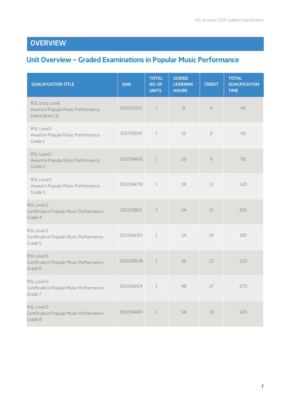### **OVERVIEW**

### **Unit Overview – Graded Examinations in Popular Music Performance**

| <b>QUALIFICATION TITLE</b>                                               | QAN        | <b>TOTAL</b><br>NO. OF<br><b>UNITS</b> | <b>GUIDED</b><br><b>LEARNING</b><br><b>HOURS</b> | <b>CREDIT</b>  | <b>TOTAL</b><br><b>QUALIFICATION</b><br><b>TIME</b> |
|--------------------------------------------------------------------------|------------|----------------------------------------|--------------------------------------------------|----------------|-----------------------------------------------------|
| RSL Entry Level<br>Award in Popular Music Performance<br>Debut (Entry 3) | 501/0370/2 | $\mathbf{1}$                           | 8                                                | $\overline{4}$ | 40                                                  |
| RSL Level 1<br>Award in Popular Music Performance<br>Grade 1             | 501/0391/X | $\mathbf 1$                            | 12                                               | 6              | 60                                                  |
| RSL Level 1<br>Award in Popular Music Performance<br>Grade 2             | 501/0646/6 | $\mathbf{1}$                           | 18                                               | $\mathcal{G}$  | 90                                                  |
| RSL Level 1<br>Award in Popular Music Performance<br>Grade 3             | 501/0647/8 | $\mathbf 1$                            | 18                                               | 12             | 120                                                 |
| RSL Level 2<br>Certificate in Popular Music Performance<br>Grade 4       | 501/0389/1 | $1\,$                                  | 24                                               | 15             | 150                                                 |
| RSL Level 2<br>Certificate in Popular Music Performance<br>Grade 5       | 501/0643/0 | $\mathbf 1$                            | 24                                               | 18             | 180                                                 |
| RSL Level 3<br>Certificate in Popular Music Performance<br>Grade 6       | 501/0390/8 | $\mathbf{1}$                           | 36                                               | 22             | 220                                                 |
| RSL Level 3<br>Certificate in Popular Music Performance<br>Grade 7       | 501/0645/4 | $\mathbf{1}$                           | 48                                               | 27             | 270                                                 |
| RSL Level 3<br>Certificate in Popular Music Performance<br>Grade 8       | 501/0648/X | $\mathbf{1}$                           | 54                                               | 32             | 320                                                 |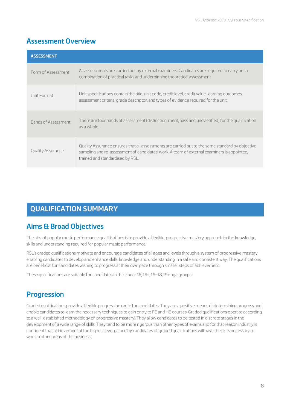### **Assessment Overview**

| <b>ASSESSMENT</b>        |                                                                                                                                                                                                                                    |
|--------------------------|------------------------------------------------------------------------------------------------------------------------------------------------------------------------------------------------------------------------------------|
| Form of Assessment       | All assessments are carried out by external examiners. Candidates are required to carry out a<br>combination of practical tasks and underpinning theoretical assessment.                                                           |
| Unit Format              | Unit specifications contain the title, unit code, credit level, credit value, learning outcomes,<br>assessment criteria, grade descriptor, and types of evidence required for the unit.                                            |
| Bands of Assessment      | There are four bands of assessment (distinction, merit, pass and unclassified) for the qualification<br>as a whole.                                                                                                                |
| <b>Quality Assurance</b> | Quality Assurance ensures that all assessments are carried out to the same standard by objective<br>sampling and re-assessment of candidates' work. A team of external examiners is appointed,<br>trained and standardised by RSL. |

### **QUALIFICATION SUMMARY**

### **Aims & Broad Objectives**

The aim of popular music performance qualifications is to provide a flexible, progressive mastery approach to the knowledge, skills and understanding required for popular music performance.

RSL's graded qualifications motivate and encourage candidates of all ages and levels through a system of progressive mastery, enabling candidates to develop and enhance skills, knowledge and understanding in a safe and consistent way. The qualifications are beneficial for candidates wishing to progress at their own pace through smaller steps of achievement.

These qualifications are suitable for candidates in the Under 16, 16+, 16–18, 19+ age groups.

### **Progression**

Graded qualifications provide a flexible progression route for candidates. They are a positive means of determining progress and enable candidates to learn the necessary techniques to gain entry to FE and HE courses. Graded qualifications operate according to a well-established methodology of 'progressive mastery'. They allow candidates to be tested in discrete stages in the development of a wide range of skills. They tend to be more rigorous than other types of exams and for that reason industry is confident that achievement at the highest level gained by candidates of graded qualifications will have the skills necessary to work in other areas of the business.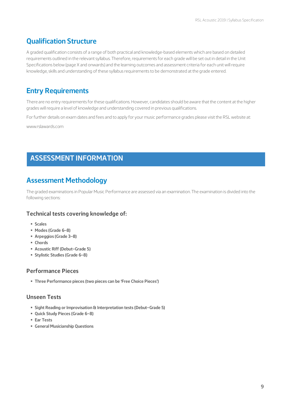### **Qualification Structure**

A graded qualification consists of a range of both practical and knowledge-based elements which are based on detailed requirements outlined in the relevant syllabus. Therefore, requirements for each grade will be set out in detail in the Unit Specifications below (page X and onwards) and the learning outcomes and assessment criteria for each unit will require knowledge, skills and understanding of these syllabus requirements to be demonstrated at the grade entered.

### **Entry Requirements**

There are no entry requirements for these qualifications. However, candidates should be aware that the content at the higher grades will require a level of knowledge and understanding covered in previous qualifications.

For further details on exam dates and fees and to apply for your music performance grades please visit the RSL website at:

www.rslawards.com

### **ASSESSMENT INFORMATION**

### **Assessment Methodology**

The graded examinations in Popular Music Performance are assessed via an examination. The examination is divided into the following sections:

### **Technical tests covering knowledge of:**

§ **Scales**

 $\overline{a}$ 

- § **Modes (Grade 6–8)**
- § **Arpeggios (Grade 3–8)**
- § **Chords**
- § **Acoustic Riff (Debut–Grade 5)**
- § **Stylistic Studies (Grade 6–8)**

### **Performance Pieces**

§ **Three Performance pieces (two pieces can be 'Free Choice Pieces')** 

### **Unseen Tests**

- § **Sight Reading or Improvisation & Interpretation tests (Debut–Grade 5)**
- § **Quick Study Pieces (Grade 6–8)**
- § **Ear Tests**
- § **General Musicianship Questions**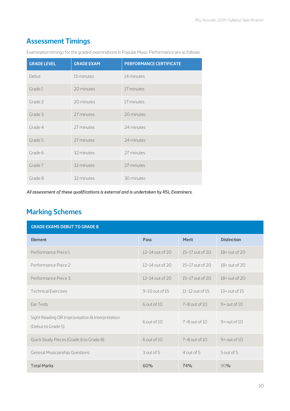### **Assessment Timings**

| <b>GRADE LEVEL</b> | <b>GRADE EXAM</b> | <b>PERFORMANCE CERTIFICATE</b> |
|--------------------|-------------------|--------------------------------|
| Debut              | 15 minutes        | 14 minutes                     |
| Grade 1            | 20 minutes        | 17 minutes                     |
| Grade 2            | 20 minutes        | 17 minutes                     |
| Grade 3            | 27 minutes        | 20 minutes                     |
| Grade 4            | 27 minutes        | 24 minutes                     |
| Grade 5            | 27 minutes        | 24 minutes                     |
| Grade 6            | 32 minutes        | 27 minutes                     |
| Grade 7            | 32 minutes        | 27 minutes                     |
| Grade 8            | 32 minutes        | 30 minutes                     |

Examination timings for the graded examinations in Popular Music Performance are as follows:

*All assessment of these qualifications is external and is undertaken by RSL Examiners.* 

### **Marking Schemes**

| <b>GRADE EXAMS DEBUT TO GRADE 8</b>                                   |                    |                     |                    |  |  |  |
|-----------------------------------------------------------------------|--------------------|---------------------|--------------------|--|--|--|
| <b>Element</b>                                                        | Pass               | <b>Merit</b>        | <b>Distinction</b> |  |  |  |
| Performance Piece 1                                                   | 12-14 out of 20    | 15-17 out of 20     | $18+$ out of 20    |  |  |  |
| Performance Piece 2                                                   | 12-14 out of 20    | 15-17 out of 20     | $18+$ out of 20    |  |  |  |
| Performance Piece 3                                                   | 12-14 out of 20    | 15-17 out of 20     | $18+$ out of 20    |  |  |  |
| <b>Technical Exercises</b>                                            | $9-10$ out of $15$ | $11-12$ out of $15$ | $13+$ out of $15$  |  |  |  |
| Ear Tests                                                             | 6 out of 10        | $7 - 8$ out of $10$ | $9 +$ out of 10    |  |  |  |
| Sight Reading OR Improvisation & Interpretation<br>(Debut to Grade 5) | 6 out of 10        | $7 - 8$ out of $10$ | $9 +$ out of 10    |  |  |  |
| Quick Study Pieces (Grade 6 to Grade 8)                               | 6 out of 10        | $7 - 8$ out of $10$ | $9 +$ out of 10    |  |  |  |
| <b>General Musicianship Questions</b>                                 | 3 out of 5         | 4 out of 5          | $5$ out of $5$     |  |  |  |
| <b>Total Marks</b>                                                    | 60%                | 74%                 | 90%                |  |  |  |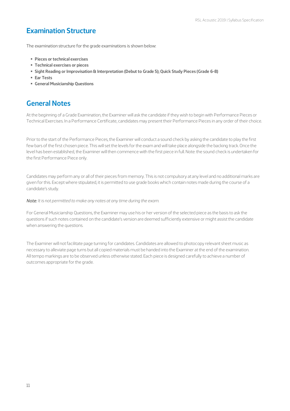### **Examination Structure**

The examination structure for the grade examinations is shown below:

- § **Pieces or technical exercises**
- § **Technical exercises or pieces**
- § **Sight Reading or Improvisation & Interpretation (Debut to Grade 5); Quick Study Pieces (Grade 6-8)**
- § **Ear Tests**
- § **General Musicianship Questions**

### **General Notes**

At the beginning of a Grade Examination, the Examiner will ask the candidate if they wish to begin with Performance Pieces or Technical Exercises. In a Performance Certificate, candidates may present their Performance Pieces in any order of their choice.

Prior to the start of the Performance Pieces, the Examiner will conduct a sound check by asking the candidate to play the first few bars of the first chosen piece. This will set the levels for the exam and will take place alongside the backing track. Once the level has been established, the Examiner will then commence with the first piece in full. Note: the sound check is undertaken for the first Performance Piece only.

Candidates may perform any or all of their pieces from memory. This is not compulsory at any level and no additional marks are given for this. Except where stipulated, it is permitted to use grade books which contain notes made during the course of a candidate's study.

*Note: It is not permitted to make any notes at any time during the exam.* 

For General Musicianship Questions, the Examiner may use his or her version of the selected piece as the basis to ask the questions if such notes contained on the candidate's version are deemed sufficiently extensive or might assist the candidate when answering the questions.

The Examiner will not facilitate page turning for candidates. Candidates are allowed to photocopy relevant sheet music as necessary to alleviate page turns but all copied materials must be handed into the Examiner at the end of the examination. All tempo markings are to be observed unless otherwise stated. Each piece is designed carefully to achieve a number of outcomes appropriate for the grade.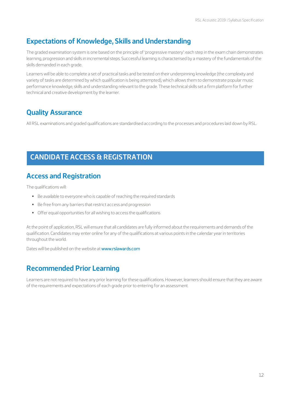### **Expectations of Knowledge, Skills and Understanding**

The graded examination system is one based on the principle of 'progressive mastery': each step in the exam chain demonstrates learning, progression and skills in incremental steps. Successful learning is characterised by a mastery of the fundamentals of the skills demanded in each grade.

Learners will be able to complete a set of practical tasks and be tested on their underpinning knowledge (the complexity and variety of tasks are determined by which qualification is being attempted), which allows them to demonstrate popular music performance knowledge, skills and understanding relevant to the grade. These technical skills set a firm platform for further technical and creative development by the learner.

### **Quality Assurance**

All RSL examinations and graded qualifications are standardised according to the processes and procedures laid down by RSL.

### **CANDIDATE ACCESS & REGISTRATION**

### **Access and Registration**

The qualifications will:

- § Be available to everyone who is capable of reaching the required standards
- Be free from any barriers that restrict access and progression
- § Offer equal opportunities for all wishing to access the qualifications

At the point of application, RSL will ensure that all candidates are fully informed about the requirements and demands of the qualification. Candidates may enter online for any of the qualifications at various points in the calendar year in territories throughout the world.

Dates will be published on the website at www.rslawards.com

### **Recommended Prior Learning**

Learners are not required to have any prior learning for these qualifications. However, learners should ensure that they are aware of the requirements and expectations of each grade prior to entering for an assessment.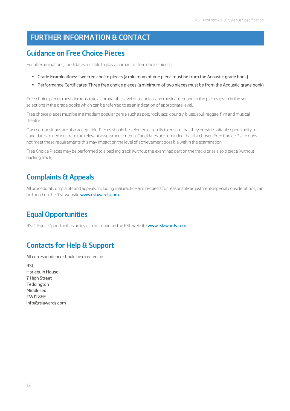### **FURTHER INFORMATION & CONTACT**

### **Guidance on Free Choice Pieces**

For all examinations, candidates are able to play a number of free choice pieces:

- § Grade Examinations: Two free choice pieces (a minimum of one piece must be from the Acoustic grade book)
- § Performance Certificates: Three free choice pieces (a minimum of two pieces must be from the Acoustic grade book)

Free choice pieces must demonstrate a comparable level of technical and musical demand to the pieces given in the set selections in the grade books which can be referred to as an indication of appropriate level.

Free choice pieces must be in a modern popular genre such as pop; rock; jazz; country; blues; soul; reggae, film and musical theatre.

Own compositions are also acceptable. Pieces should be selected carefully to ensure that they provide suitable opportunity for candidates to demonstrate the relevant assessment criteria. Candidates are reminded that if a chosen Free Choice Piece does not meet these requirements this may impact on the level of achievement possible within the examination.

Free Choice Pieces may be performed to a backing track (without the examined part on the track) or as a solo piece (without backing track).

### **Complaints & Appeals**

All procedural complaints and appeals, including malpractice and requests for reasonable adjustments/special considerations, can be found on the RSL website www.rslawards.com

### **Equal Opportunities**

RSL's Equal Opportunities policy can be found on the RSL website www.rslawards.com

### **Contacts for Help & Support**

All correspondence should be directed to:

**RSL** Harlequin House 7 High Street Teddington Middlesex TW11 8EE info@rslawards.com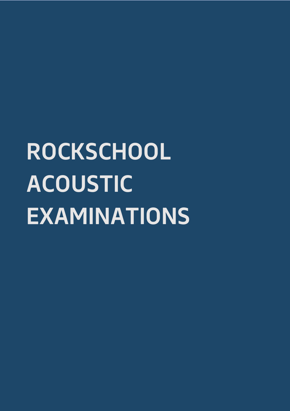## **ROCKSCHOOL ACOUSTIC EXAMINATIONS**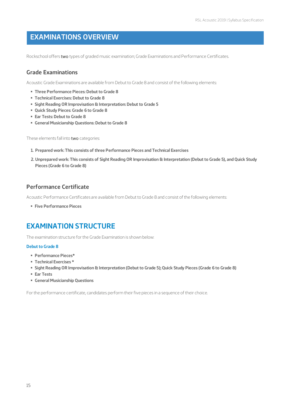### **EXAMINATIONS OVERVIEW**

Rockschool offers two types of graded music examination; Grade Examinations and Performance Certificates.

### **Grade Examinations**

Acoustic Grade Examinations are available from Debut to Grade 8 and consist of the following elements:

- § **Three Performance Pieces: Debut to Grade 8**
- § **Technical Exercises: Debut to Grade 8**
- § **Sight Reading OR Improvisation & Interpretation: Debut to Grade 5**
- § **Quick Study Pieces: Grade 6 to Grade 8**
- § **Ear Tests: Debut to Grade 8**
- § **General Musicianship Questions: Debut to Grade 8**

These elements fall into two categories:

- **1. Prepared work: This consists of three Performance Pieces and Technical Exercises**
- **2. Unprepared work: This consists of Sight Reading OR Improvisation & Interpretation (Debut to Grade 5), and Quick Study Pieces (Grade 6 to Grade 8)**

### **Performance Certificate**

Acoustic Performance Certificates are available from Debut to Grade 8 and consist of the following elements:

§ **Five Performance Pieces** 

### **EXAMINATION STRUCTURE**

The examination structure for the Grade Examination is shown below:

#### **Debut to Grade 8**

- § **Performance Pieces\***
- § **Technical Exercises \***
- § **Sight Reading OR Improvisation & Interpretation (Debut to Grade 5); Quick Study Pieces (Grade 6 to Grade 8)**
- § **Ear Tests**
- § **General Musicianship Questions**

For the performance certificate, candidates perform their five pieces in a sequence of their choice.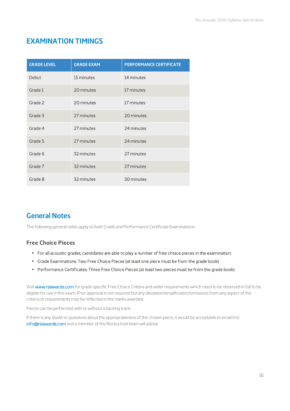### **EXAMINATION TIMINGS**

| <b>GRADE LEVEL</b> | <b>GRADE EXAM</b> | <b>PERFORMANCE CERTIFICATE</b> |
|--------------------|-------------------|--------------------------------|
| Debut              | 15 minutes        | 14 minutes                     |
| Grade 1            | 20 minutes        | 17 minutes                     |
| Grade 2            | 20 minutes        | 17 minutes                     |
| Grade 3            | 27 minutes        | 20 minutes                     |
| Grade 4            | 27 minutes        | 24 minutes                     |
| Grade 5            | 27 minutes        | 24 minutes                     |
| Grade 6            | 32 minutes        | 27 minutes                     |
| Grade 7            | 32 minutes        | 27 minutes                     |
| Grade 8            | 32 minutes        | 30 minutes                     |

### **General Notes**

The following general notes apply to both Grade and Performance Certificate Examinations:

### **Free Choice Pieces**

- § For all acoustic grades, candidates are able to play a number of free choice pieces in the examination:
- § Grade Examinations: Two Free Choice Pieces (at least one piece must be from the grade book)
- § Performance Certificates: Three Free Choice Pieces (at least two pieces must be from the grade book)

Visit www.rslawards.com for grade specific Free Choice Criteria and wider requirements which need to be observed in full to be eligible for use in the exam. Prior approval is not required but any deviation/simplification/omissions from any aspect of the criteria or requirements may be reflected in the marks awarded.

Pieces can be performed with or without a backing track.

If there is any doubt or questions about the appropriateness of the chosen piece, it would be acceptable to email it to info@rslawards.com and a member of the Rockschool team will advise.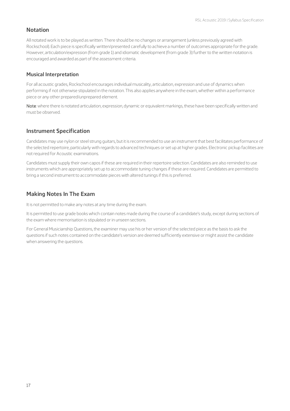### **Notation**

All notated work is to be played as written. There should be no changes or arrangement (unless previously agreed with Rockschool). Each piece is specifically written/presented carefully to achieve a number of outcomes appropriate for the grade. However, articulation/expression (from grade 1) and idiomatic development (from grade 3) further to the written notation is encouraged and awarded as part of the assessment criteria.

### **Musical Interpretation**

For all acoustic grades, Rockschool encourages individual musicality, articulation, expression and use of dynamics when performing if not otherwise stipulated in the notation. This also applies anywhere in the exam, whether within a performance piece or any other prepared/unprepared element.

Note: where there is notated articulation, expression, dynamic or equivalent markings, these have been specifically written and must be observed.

### **Instrument Specification**

Candidates may use nylon or steel strung guitars, but it is recommended to use an instrument that best facilitates performance of the selected repertoire, particularly with regards to advanced techniques or set up at higher grades. Electronic pickup facilities are not required for Acoustic examinations.

Candidates must supply their own capos if these are required in their repertoire selection. Candidates are also reminded to use instruments which are appropriately set up to accommodate tuning changes if these are required. Candidates are permitted to bring a second instrument to accommodate pieces with altered tunings if this is preferred.

### **Making Notes In The Exam**

It is not permitted to make any notes at any time during the exam.

It is permitted to use grade books which contain notes made during the course of a candidate's study, except during sections of the exam where memorisation is stipulated or in unseen sections.

For General Musicianship Questions, the examiner may use his or her version of the selected piece as the basis to ask the questions if such notes contained on the candidate's version are deemed sufficiently extensive or might assist the candidate when answering the questions.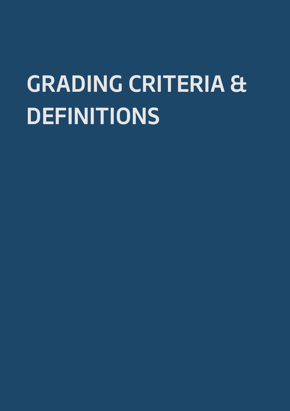## **GRADING CRITERIA & DEFINITIONS**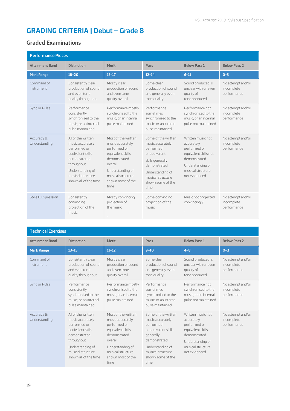### **GRADING CRITERIA | Debut – Grade 8**

### **Graded Examinations**

| <b>Performance Pieces</b>   |                                                                                                                                                                              |                                                                                                                                                                               |                                                                                                                                                                                 |                                                                                                                                                    |                                                |  |
|-----------------------------|------------------------------------------------------------------------------------------------------------------------------------------------------------------------------|-------------------------------------------------------------------------------------------------------------------------------------------------------------------------------|---------------------------------------------------------------------------------------------------------------------------------------------------------------------------------|----------------------------------------------------------------------------------------------------------------------------------------------------|------------------------------------------------|--|
| <b>Attainment Band</b>      | <b>Distinction</b>                                                                                                                                                           | Merit                                                                                                                                                                         | Pass                                                                                                                                                                            | <b>Below Pass 1</b>                                                                                                                                | <b>Below Pass 2</b>                            |  |
| <b>Mark Range</b>           | $18 - 20$                                                                                                                                                                    | $15 - 17$                                                                                                                                                                     | $12 - 14$                                                                                                                                                                       | $6 - 11$                                                                                                                                           | $0 - 5$                                        |  |
| Command of<br>Instrument    | Consistently clear<br>production of sound<br>and even tone<br>quality throughout                                                                                             | Mostly clear<br>production of sound<br>and even tone<br>quality overall                                                                                                       | Some clear<br>production of sound<br>and generally even<br>tone quality                                                                                                         | Sound produced is<br>unclear with uneven<br>quality of<br>tone produced                                                                            | No attempt and/or<br>incomplete<br>performance |  |
| Sync or Pulse               | Performance<br>consistently<br>synchronised to the<br>music, or an internal<br>pulse maintained                                                                              | Performance mostly<br>synchronised to the<br>music, or an internal<br>pulse maintained                                                                                        | Performance<br>sometimes<br>synchronised to the<br>music, or an internal<br>pulse maintained                                                                                    | Performance not<br>synchronised to the<br>music, or an internal<br>pulse not maintained                                                            | No attempt and/or<br>incomplete<br>performance |  |
| Accuracy &<br>Understanding | All of the written<br>music accurately<br>performed or<br>equivalent skills<br>demonstrated<br>throughout<br>Understanding of<br>musical structure.<br>shown all of the time | Most of the written<br>music accurately<br>performed or<br>equivalent skills<br>demonstrated<br>overall<br>Understanding of<br>musical structure<br>shown most of the<br>time | Some of the written<br>music accurately<br>performed<br>or equivalent<br>skills generally<br>demonstrated<br>Understanding of<br>musical structure<br>shown some of the<br>time | Written music not<br>accurately<br>performed or<br>equivalent skills not<br>demonstrated<br>Understanding of<br>musical structure<br>not evidenced | No attempt and/or<br>incomplete<br>performance |  |
| Style & Expression          | Consistently<br>convincing<br>projection of the<br>music                                                                                                                     | Mostly convincing<br>projection of<br>the music.                                                                                                                              | Some convincing<br>projection of the<br>music                                                                                                                                   | Music not projected<br>convincingly                                                                                                                | No attempt and/or<br>incomplete<br>performance |  |

| <b>Technical Exercises</b>  |                                                                                                                                                                              |                                                                                                                                                                                |                                                                                                                                                                                  |                                                                                                                                                |                                                |  |
|-----------------------------|------------------------------------------------------------------------------------------------------------------------------------------------------------------------------|--------------------------------------------------------------------------------------------------------------------------------------------------------------------------------|----------------------------------------------------------------------------------------------------------------------------------------------------------------------------------|------------------------------------------------------------------------------------------------------------------------------------------------|------------------------------------------------|--|
| <b>Attainment Band</b>      | <b>Distinction</b>                                                                                                                                                           | Merit                                                                                                                                                                          | Pass                                                                                                                                                                             | <b>Below Pass 1</b>                                                                                                                            | <b>Below Pass 2</b>                            |  |
| <b>Mark Range</b>           | $13 - 15$                                                                                                                                                                    | $11 - 12$                                                                                                                                                                      | $9 - 10$                                                                                                                                                                         | $4 - 8$                                                                                                                                        | $0 - 3$                                        |  |
| Command of<br>instrument    | Consistently clear<br>production of sound<br>and even tone<br>quality throughout                                                                                             | Mostly clear<br>production of sound<br>and even tone<br>quality overall                                                                                                        | Some clear<br>production of sound<br>and generally even<br>tone quality                                                                                                          | Sound produced is<br>unclear with uneven<br>quality of<br>tone produced                                                                        | No attempt and/or<br>incomplete<br>performance |  |
| Sync or Pulse               | Performance<br>consistently<br>synchronised to the<br>music, or an internal<br>pulse maintained                                                                              | Performance mostly<br>synchronised to the<br>music, or an internal<br>pulse maintained                                                                                         | Performance<br>sometimes<br>synchronised to the<br>music, or an internal<br>pulse maintained                                                                                     | Performance not<br>synchronised to the<br>music, or an internal<br>pulse not maintained                                                        | No attempt and/or<br>incomplete<br>performance |  |
| Accuracy &<br>Understanding | All of the written<br>music accurately<br>performed or<br>equivalent skills<br>demonstrated<br>throughout<br>Understanding of<br>musical structure.<br>shown all of the time | Most of the written<br>music accurately<br>performed or<br>equivalent skills<br>demonstrated<br>overall<br>Understanding of<br>musical structure.<br>shown most of the<br>time | Some of the written<br>music accurately<br>performed<br>or equivalent skills<br>generally<br>demonstrated<br>Understanding of<br>musical structure.<br>shown some of the<br>time | Written music not<br>accurately<br>performed or<br>equivalent skills<br>demonstrated<br>Understanding of<br>musical structure<br>not evidenced | No attempt and/or<br>incomplete<br>performance |  |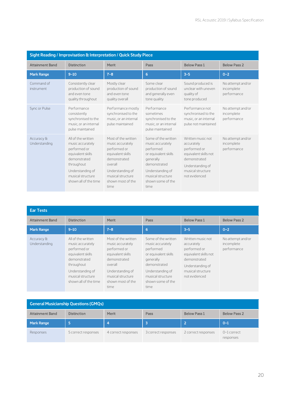| Sight Reading / Improvisation & Interpretation / Quick Study Piece |                                                                                                                                                                             |                                                                                                                                                                               |                                                                                                                                                                                  |                                                                                                                                                    |                                                |  |
|--------------------------------------------------------------------|-----------------------------------------------------------------------------------------------------------------------------------------------------------------------------|-------------------------------------------------------------------------------------------------------------------------------------------------------------------------------|----------------------------------------------------------------------------------------------------------------------------------------------------------------------------------|----------------------------------------------------------------------------------------------------------------------------------------------------|------------------------------------------------|--|
| <b>Attainment Band</b>                                             | <b>Distinction</b>                                                                                                                                                          | Merit                                                                                                                                                                         | Pass                                                                                                                                                                             | <b>Below Pass 1</b>                                                                                                                                | <b>Below Pass 2</b>                            |  |
| <b>Mark Range</b>                                                  | $9 - 10$                                                                                                                                                                    | $7 - 8$                                                                                                                                                                       | 6                                                                                                                                                                                | $3 - 5$                                                                                                                                            | $0 - 2$                                        |  |
| Command of<br>instrument                                           | Consistently clear<br>production of sound<br>and even tone<br>quality throughout                                                                                            | Mostly clear<br>production of sound<br>and even tone<br>quality overall                                                                                                       | Some clear<br>production of sound<br>and generally even<br>tone quality                                                                                                          | Sound produced is<br>unclear with uneven<br>quality of<br>tone produced                                                                            | No attempt and/or<br>incomplete<br>performance |  |
| Sync or Pulse                                                      | Performance<br>consistently<br>synchronised to the<br>music, or an internal<br>pulse maintained                                                                             | Performance mostly<br>synchronised to the<br>music, or an internal<br>pulse maintained                                                                                        | Performance<br>sometimes<br>synchronised to the<br>music, or an internal<br>pulse maintained                                                                                     | Performance not<br>synchronised to the<br>music, or an internal<br>pulse not maintained                                                            | No attempt and/or<br>incomplete<br>performance |  |
| Accuracy &<br>Understanding                                        | All of the written<br>music accurately<br>performed or<br>equivalent skills<br>demonstrated<br>throughout<br>Understanding of<br>musical structure<br>shown all of the time | Most of the written<br>music accurately<br>performed or<br>equivalent skills<br>demonstrated<br>overall<br>Understanding of<br>musical structure<br>shown most of the<br>time | Some of the written<br>music accurately<br>performed<br>or equivalent skills<br>generally<br>demonstrated<br>Understanding of<br>musical structure.<br>shown some of the<br>time | Written music not<br>accurately<br>performed or<br>equivalent skills not<br>demonstrated<br>Understanding of<br>musical structure<br>not evidenced | No attempt and/or<br>incomplete<br>performance |  |

| <b>Ear Tests</b>            |                                                                                                                                                                             |                                                                                                                                                                                |                                                                                                                                                                                  |                                                                                                                                                    |                                                |  |  |
|-----------------------------|-----------------------------------------------------------------------------------------------------------------------------------------------------------------------------|--------------------------------------------------------------------------------------------------------------------------------------------------------------------------------|----------------------------------------------------------------------------------------------------------------------------------------------------------------------------------|----------------------------------------------------------------------------------------------------------------------------------------------------|------------------------------------------------|--|--|
| <b>Attainment Band</b>      | <b>Distinction</b>                                                                                                                                                          | Merit                                                                                                                                                                          | Pass                                                                                                                                                                             | <b>Below Pass 1</b>                                                                                                                                | <b>Below Pass 2</b>                            |  |  |
| <b>Mark Range</b>           | $9 - 10$                                                                                                                                                                    | $7 - 8$                                                                                                                                                                        | 6                                                                                                                                                                                | $3 - 5$                                                                                                                                            | $0 - 2$                                        |  |  |
| Accuracy &<br>Understanding | All of the written<br>music accurately<br>performed or<br>equivalent skills<br>demonstrated<br>throughout<br>Understanding of<br>musical structure<br>shown all of the time | Most of the written<br>music accurately<br>performed or<br>equivalent skills<br>demonstrated<br>overall<br>Understanding of<br>musical structure.<br>shown most of the<br>time | Some of the written<br>music accurately<br>performed<br>or equivalent skills<br>generally<br>demonstrated<br>Understanding of<br>musical structure.<br>shown some of the<br>time | Written music not<br>accurately<br>performed or<br>equivalent skills not<br>demonstrated<br>Understanding of<br>musical structure<br>not evidenced | No attempt and/or<br>incomplete<br>performance |  |  |

| <b>General Musicianship Questions (GMQs)</b> |                     |                     |                     |                     |                            |  |
|----------------------------------------------|---------------------|---------------------|---------------------|---------------------|----------------------------|--|
| <b>Attainment Band</b>                       | <b>Distinction</b>  | Merit               | Pass                | <b>Below Pass 1</b> | <b>Below Pass 2</b>        |  |
| <b>Mark Range</b>                            | l 5.                | 4                   |                     | 12                  | $O - 1$                    |  |
| Responses                                    | 5 correct responses | 4 correct responses | 3 correct responses | 2 correct responses | $0-1$ correct<br>responses |  |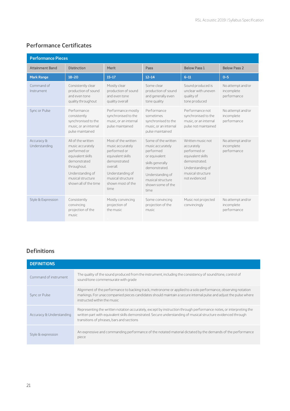### **Performance Certificates**

| <b>Performance Pieces</b>   |                                                                                                                                                                              |                                                                                                                                                                                 |                                                                                                                                                                                  |                                                                                                                                                 |                                                |
|-----------------------------|------------------------------------------------------------------------------------------------------------------------------------------------------------------------------|---------------------------------------------------------------------------------------------------------------------------------------------------------------------------------|----------------------------------------------------------------------------------------------------------------------------------------------------------------------------------|-------------------------------------------------------------------------------------------------------------------------------------------------|------------------------------------------------|
| <b>Attainment Band</b>      | <b>Distinction</b>                                                                                                                                                           | Merit                                                                                                                                                                           | Pass                                                                                                                                                                             | <b>Below Pass 1</b>                                                                                                                             | <b>Below Pass 2</b>                            |
| <b>Mark Range</b>           | $18 - 20$                                                                                                                                                                    | $15 - 17$                                                                                                                                                                       | $12 - 14$                                                                                                                                                                        | $6 - 11$                                                                                                                                        | $0 - 5$                                        |
| Command of<br>Instrument    | Consistently clear<br>production of sound<br>and even tone<br>quality throughout                                                                                             | Mostly clear<br>production of sound<br>and even tone<br>quality overall                                                                                                         | Some clear<br>production of sound<br>and generally even<br>tone quality                                                                                                          | Sound produced is<br>unclear with uneven<br>quality of<br>tone produced                                                                         | No attempt and/or<br>incomplete<br>performance |
| Sync or Pulse               | Performance<br>consistently<br>synchronised to the<br>music, or an internal<br>pulse maintained                                                                              | Performance mostly<br>synchronised to the<br>music, or an internal<br>pulse maintained                                                                                          | Performance<br>sometimes<br>synchronised to the<br>music, or an internal<br>pulse maintained                                                                                     | Performance not<br>synchronised to the<br>music, or an internal<br>pulse not maintained                                                         | No attempt and/or<br>incomplete<br>performance |
| Accuracy &<br>Understanding | All of the written<br>music accurately<br>performed or<br>equivalent skills<br>demonstrated<br>throughout.<br>Understanding of<br>musical structure<br>shown all of the time | Most of the written<br>music accurately<br>performed or<br>equivalent skills<br>demonstrated<br>overall.<br>Understanding of<br>musical structure.<br>shown most of the<br>time | Some of the written<br>music accurately<br>performed<br>or equivalent<br>skills generally<br>demonstrated.<br>Understanding of<br>musical structure<br>shown some of the<br>time | Written music not<br>accurately<br>performed or<br>equivalent skills<br>demonstrated.<br>Understanding of<br>musical structure<br>not evidenced | No attempt and/or<br>incomplete<br>performance |
| Style & Expression          | Consistently<br>convincing<br>projection of the<br>music.                                                                                                                    | Mostly convincing<br>projection of<br>the music                                                                                                                                 | Some convincing<br>projection of the<br>music                                                                                                                                    | Music not projected<br>convincingly                                                                                                             | No attempt and/or<br>incomplete<br>performance |

### **Definitions**

| <b>DEFINITIONS</b>       |                                                                                                                                                                                                                                                                                  |  |  |  |
|--------------------------|----------------------------------------------------------------------------------------------------------------------------------------------------------------------------------------------------------------------------------------------------------------------------------|--|--|--|
| Command of instrument    | The quality of the sound produced from the instrument, including the consistency of sound/tone, control of<br>sound/tone commensurate with grade                                                                                                                                 |  |  |  |
| Sync or Pulse            | Alignment of the performance to backing track, metronome or applied to a solo performance, observing notation<br>markings. For unaccompanied pieces candidates should maintain a secure internal pulse and adjust the pulse where<br>instructed within the music                 |  |  |  |
| Accuracy & Understanding | Representing the written notation accurately, except by instruction through performance notes, or interpreting the<br>written part with equivalent skills demonstrated. Secure understanding of musical structure evidenced through<br>transitions of phrases, bars and sections |  |  |  |
| Style & expression       | An expressive and commanding performance of the notated material dictated by the demands of the performance<br>piece                                                                                                                                                             |  |  |  |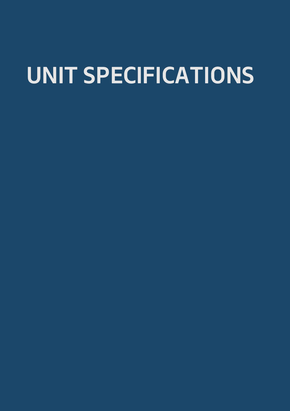## **UNIT SPECIFICATIONS**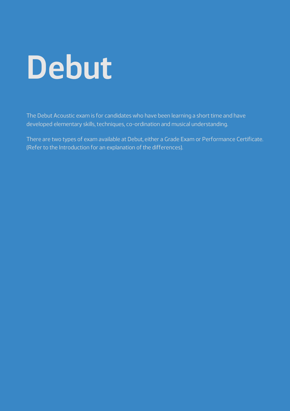# **Debut**

The Debut Acoustic exam is for candidates who have been learning a short time and have developed elementary skills, techniques, co-ordination and musical understanding.

There are two types of exam available at Debut, either a Grade Exam or Performance Certificate. (Refer to the Introduction for an explanation of the differences).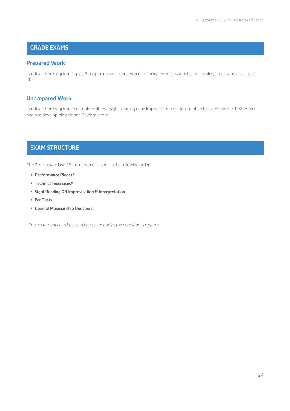### **GRADE EXAMS**

### **Prepared Work**

Candidates are required to play *three* performance pieces and Technical Exercises which cover scales, chords and an acoustic riff.

### **Unprepared Work**

Candidates are required to complete either a Sight Reading or an Improvisation & Interpretation test, and two Ear Tests which begin to develop Melodic and Rhythmic recall

### **EXAM STRUCTURE**

The Debut exam lasts 15 minutes and is taken in the following order:

- § **Performance Pieces\***
- § **Technical Exercises\***
- § **Sight Reading OR Improvisation & Interpretation**
- § **Ear Tests**
- § **General Musicianship Questions**

*\*These elements can be taken first or second at the candidate's request*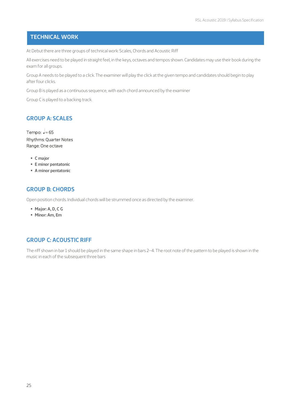### **TECHNICAL WORK**

At Debut there are three groups of technical work: Scales, Chords and Acoustic Riff

All exercises need to be played in straight feel, in the keys, octaves and tempos shown. Candidates may use their book during the exam for all groups.

Group A needs to be played to a click. The examiner will play the click at the given tempo and candidates should begin to play after four clicks.

Group B is played as a continuous sequence, with each chord announced by the examiner

Group C is played to a backing track.

### **GROUP A: SCALES**

Tempo:  $J=65$ Rhythms: Quarter Notes Range: One octave

- § **C major**
- § **E minor pentatonic**
- § **A minor pentatonic**

### **GROUP B: CHORDS**

Open position chords. Individual chords will be strummed once as directed by the examiner.

- § **Major: A, D, C G**
- § **Minor: Am, Em**

### **GROUP C: ACOUSTIC RIFF**

The riff shown in bar 1 should be played in the same shape in bars 2–4. The root note of the pattern to be played is shown in the music in each of the subsequent three bars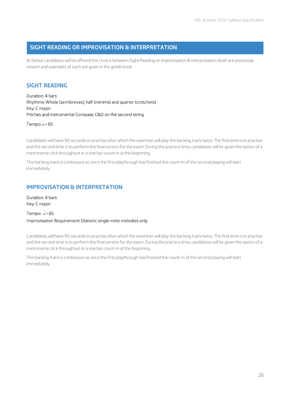### **SIGHT READING OR IMPROVISATION & INTERPRETATION**

At Debut candidates will be offered the choice between Sight Reading or Improvisation & Interpretation. Both are previously unseen and examples of each are given in the grade book

### **SIGHT READING**

Duration: 4 bars Rhythms: Whole (semibreves), half (minims) and quarter (crotchets) Key: C major Pitches and Instrumental Compass: C&D on the second string

Tempo:  $J=65$ 

Candidates will have 90 seconds to practise after which the examiner will play the backing track twice. The first time is to practise and the second time is to perform the final version for the exam. During the practice time, candidates will be given the option of a metronome click throughout or a one bar count-in at the beginning.

The backing track is continuous so once the first playthrough has finished the count-in of the second playing will start immediately.

### **IMPROVISATION & INTERPRETATION**

Duration: 4 bars Key: C major

Tempo:  $=65$ Improvisation Requirement: Diatonic single-note melodies only

Candidates will have 90 seconds to practise after which the examiner will play the backing track twice. The first time is to practise and the second time is to perform the final version for the exam. During the practice time, candidates will be given the option of a metronome click throughout or a one bar count-in at the beginning.

The backing track is continuous so once the first playthrough has finished the count-in of the second playing will start immediately.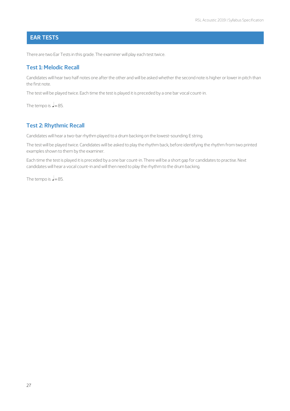### **EAR TESTS**

There are two Ear Tests in this grade. The examiner will play each test twice.

### **Test 1: Melodic Recall**

Candidates will hear two half notes one after the other and will be asked whether the second note is higher or lower in pitch than the first note.

The test will be played twice. Each time the test is played it is preceded by a one bar vocal count-in.

The tempo is  $=85$ .

### **Test 2: Rhythmic Recall**

Candidates will hear a two-bar rhythm played to a drum backing on the lowest-sounding E string.

The test will be played twice. Candidates will be asked to play the rhythm back, before identifying the rhythm from two printed examples shown to them by the examiner.

Each time the test is played it is preceded by a one bar count-in. There will be a short gap for candidates to practise. Next candidates will hear a vocal count-in and will then need to play the rhythm to the drum backing.

The tempo is  $=85$ .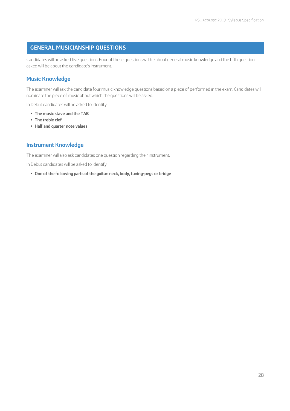### **GENERAL MUSICIANSHIP QUESTIONS**

Candidates will be asked five questions. Four of these questions will be about general music knowledge and the fifth question asked will be about the candidate's instrument.

### **Music Knowledge**

The examiner will ask the candidate four music knowledge questions based on a piece of performed in the exam. Candidates will nominate the piece of music about which the questions will be asked.

In Debut candidates will be asked to identify:

- § **The music stave and the TAB**
- § **The treble clef**
- § **Half and quarter note values**

### **Instrument Knowledge**

The examiner will also ask candidates one question regarding their instrument.

In Debut candidates will be asked to identify:

§ **One of the following parts of the guitar: neck, body, tuning-pegs or bridge**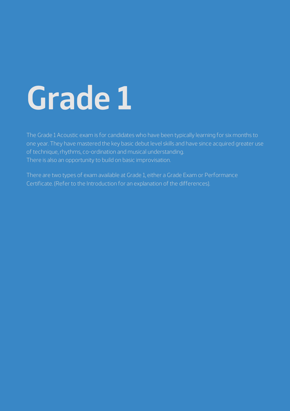# **Grade 1**

The Grade 1 Acoustic exam is for candidates who have been typically learning for six months to one year. They have mastered the key basic debut level skills and have since acquired greater use of technique, rhythms, co-ordination and musical understanding. There is also an opportunity to build on basic improvisation.

There are two types of exam available at Grade 1, either a Grade Exam or Performance Certificate. (Refer to the Introduction for an explanation of the differences).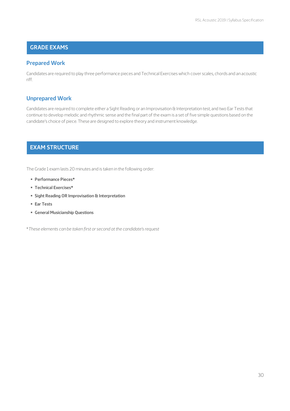### **GRADE EXAMS**

### **Prepared Work**

Candidates are required to play three performance pieces and Technical Exercises which cover scales, chords and an acoustic riff.

### **Unprepared Work**

Candidates are required to complete either a Sight Reading or an Improvisation & Interpretation test, and two Ear Tests that continue to develop melodic and rhythmic sense and the final part of the exam is a set of five simple questions based on the candidate's choice of piece. These are designed to explore theory and instrument knowledge.

### **EXAM STRUCTURE**

The Grade 1 exam lasts 20 minutes and is taken in the following order:

- § **Performance Pieces\***
- § **Technical Exercises\***
- § **Sight Reading OR Improvisation & Interpretation**
- § **Ear Tests**
- § **General Musicianship Questions**

\**These elements can be taken first or second at the candidate's request*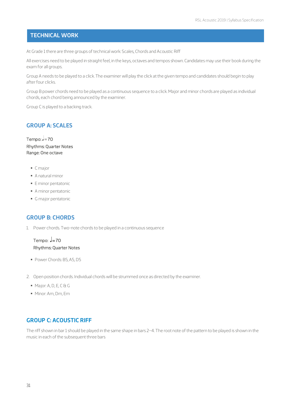### **TECHNICAL WORK**

At Grade 1 there are three groups of technical work: Scales, Chords and Acoustic Riff

All exercises need to be played in straight feel, in the keys, octaves and tempos shown. Candidates may use their book during the exam for all groups.

Group A needs to be played to a click. The examiner will play the click at the given tempo and candidates should begin to play after four clicks.

Group B power chords need to be played as a continuous sequence to a click. Major and minor chords are played as individual chords, each chord being announced by the examiner.

Group C is played to a backing track.

### **GROUP A: SCALES**

Tempo:  $=70$ Rhythms: Quarter Notes Range: One octave

- § C major
- § A natural minor
- § E minor pentatonic
- § A minor pentatonic
- § G major pentatonic

### **GROUP B: CHORDS**

1. Power chords. Two-note chords to be played in a continuous sequence

### Tempo:  $J=70$ Rhythms: Quarter Notes

- § Power Chords: B5, A5, D5
- 2. Open position chords. Individual chords will be strummed once as directed by the examiner.
	- § Major: A, D, E, C & G
	- § Minor: Am, Dm, Em

### **GROUP C: ACOUSTIC RIFF**

The riff shown in bar 1 should be played in the same shape in bars 2–4. The root note of the pattern to be played is shown in the music in each of the subsequent three bars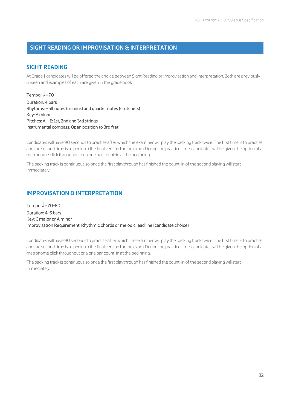### **SIGHT READING OR IMPROVISATION & INTERPRETATION**

### **SIGHT READING**

At Grade 1 candidates will be offered the choice between Sight Reading or Improvisation and Interpretation. Both are previously unseen and examples of each are given in the grade book

Tempo:  $=70$ Duration: 4 bars Rhythms: Half notes (minims) and quarter notes (crotchets) Key: A minor Pitches: A – E: 1st, 2nd and 3rd strings Instrumental compass: Open position to 3rd fret

Candidates will have 90 seconds to practise after which the examiner will play the backing track twice. The first time is to practise and the second time is to perform the final version for the exam. During the practice time, candidates will be given the option of a metronome click throughout or a one bar count-in at the beginning.

The backing track is continuous so once the first playthrough has finished the count-in of the second playing will start immediately.

### **IMPROVISATION & INTERPRETATION**

Tempo:  $=70-80$ Duration: 4-6 bars Key: C major or A minor Improvisation Requirement: Rhythmic chords or melodic lead line (candidate choice)

Candidates will have 90 seconds to practise after which the examiner will play the backing track twice. The first time is to practise and the second time is to perform the final version for the exam. During the practice time, candidates will be given the option of a metronome click throughout or a one bar count-in at the beginning.

The backing track is continuous so once the first playthrough has finished the count-in of the second playing will start immediately.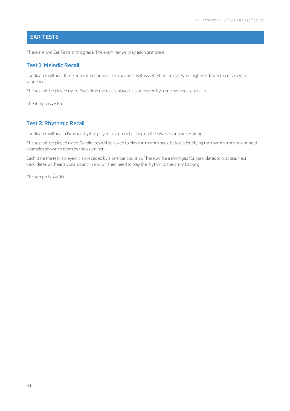### **EAR TESTS**

There are two Ear Tests in this grade. The examiner will play each test twice.

### **Test 1: Melodic Recall**

Candidates will hear three notes in sequence. The examiner will ask whether the notes are higher or lower (up or down) in sequence.

The test will be played twice. Each time the test is played it is preceded by a one bar vocal count-in.

The tempo is  $=85$ .

### **Test 2: Rhythmic Recall**

Candidates will hear a two-bar rhythm played to a drum backing on the lowest-sounding E string.

The test will be played twice. Candidates will be asked to play the rhythm back, before identifying the rhythm from two printed examples shown to them by the examiner.

Each time the test is played it is preceded by a one bar count-in. There will be a short gap for candidates to practise. Next candidates will hear a vocal count-in and will then need to play the rhythm to the drum backing.

The tempo is  $\frac{1}{2}$ =90.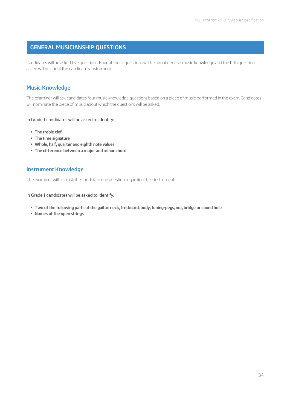### **GENERAL MUSICIANSHIP QUESTIONS**

Candidates will be asked five questions. Four of these questions will be about general music knowledge and the fifth question asked will be about the candidate's instrument.

### **Music Knowledge**

The examiner will ask candidates four music knowledge questions based on a piece of music performed in the exam. Candidates will nominate the piece of music about which the questions will be asked.

#### In Grade 1 candidates will be asked to identify:

- § **The treble clef**
- § **The time signature**
- § **Whole, half, quarter and eighth note values**
- § **The difference between a major and minor chord**

### **Instrument Knowledge**

The examiner will also ask the candidate one question regarding their instrument.

#### In Grade 1 candidates will be asked to identify:

- § **Two of the following parts of the guitar: neck, fretboard, body, tuning-pegs, nut, bridge or sound hole**
- § **Names of the open strings**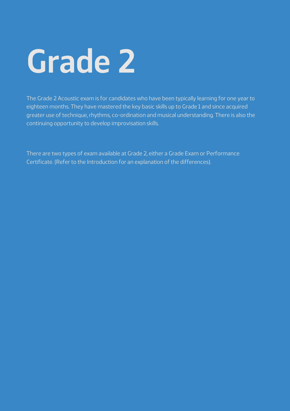# **Grade 2**

The Grade 2 Acoustic exam is for candidates who have been typically learning for one year to eighteen months. They have mastered the key basic skills up to Grade 1 and since acquired greater use of technique, rhythms, co-ordination and musical understanding. There is also the continuing opportunity to develop improvisation skills.

There are two types of exam available at Grade 2, either a Grade Exam or Performance Certificate. (Refer to the Introduction for an explanation of the differences).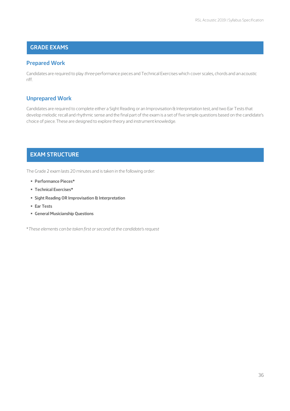### **GRADE EXAMS**

### **Prepared Work**

Candidates are required to play *three* performance pieces and Technical Exercises which cover scales, chords and an acoustic riff.

### **Unprepared Work**

Candidates are required to complete either a Sight Reading or an Improvisation & Interpretation test, and two Ear Tests that develop melodic recall and rhythmic sense and the final part of the exam is a set of five simple questions based on the candidate's choice of piece. These are designed to explore theory and instrument knowledge.

### **EXAM STRUCTURE**

The Grade 2 exam lasts 20 minutes and is taken in the following order:

- § **Performance Pieces\***
- § **Technical Exercises\***
- § **Sight Reading OR Improvisation & Interpretation**
- § **Ear Tests**
- § **General Musicianship Questions**

\**These elements can be taken first or second at the candidate's request*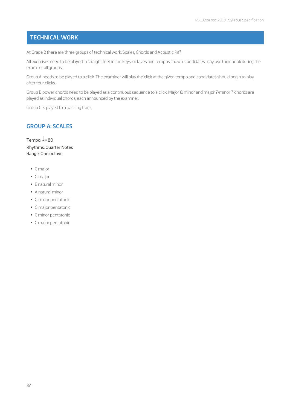## **TECHNICAL WORK**

At Grade 2 there are three groups of technical work: Scales, Chords and Acoustic Riff

All exercises need to be played in straight feel, in the keys, octaves and tempos shown. Candidates may use their book during the exam for all groups.

Group A needs to be played to a click. The examiner will play the click at the given tempo and candidates should begin to play after four clicks.

Group B power chords need to be played as a continuous sequence to a click. Major & minor and major 7/minor 7 chords are played as individual chords, each announced by the examiner.

Group C is played to a backing track.

## **GROUP A: SCALES**

Tempo:  $=80$ Rhythms: Quarter Notes Range: One octave

- § C major
- § G major
- § E natural minor
- § A natural minor
- § G minor pentatonic
- § G major pentatonic
- § C minor pentatonic
- § C major pentatonic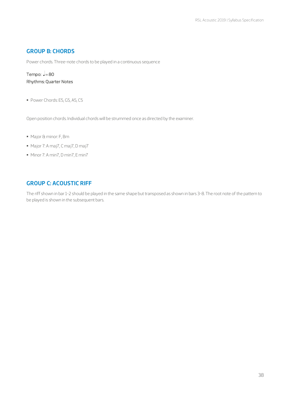#### **GROUP B: CHORDS**

Power chords. Three-note chords to be played in a continuous sequence

## Tempo:  $=80$ Rhythms: Quarter Notes

§ Power Chords: E5, G5, A5, C5

Open position chords. Individual chords will be strummed once as directed by the examiner.

- § Major & minor: F, Bm
- § Major 7: A maj7, C maj7, D maj7
- § Minor 7: A min7, D min7, E min7

#### **GROUP C: ACOUSTIC RIFF**

The riff shown in bar 1-2 should be played in the same shape but transposed as shown in bars 3-8. The root note of the pattern to be played is shown in the subsequent bars.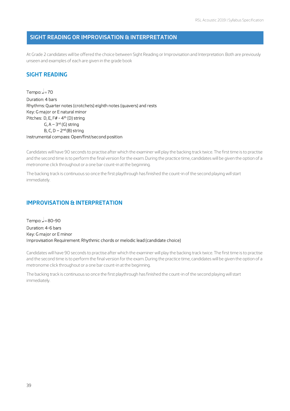#### **SIGHT READING OR IMPROVISATION & INTERPRETATION**

At Grade 2 candidates will be offered the choice between Sight Reading or Improvisation and Interpretation. Both are previously unseen and examples of each are given in the grade book

#### **SIGHT READING**

Tempo:  $J=70$ Duration: 4 bars Rhythms: Quarter notes (crotchets) eighth notes (quavers) and rests Key: G major or E natural minor Pitches: D, E, F# - 4<sup>th</sup> (D) string G,  $A - 3^{rd}$  (G) string B, C,  $D - 2<sup>nd</sup>$  (B) string Instrumental compass: Open/first/second position

Candidates will have 90 seconds to practise after which the examiner will play the backing track twice. The first time is to practise and the second time is to perform the final version for the exam. During the practice time, candidates will be given the option of a metronome click throughout or a one bar count-in at the beginning.

The backing track is continuous so once the first playthrough has finished the count-in of the second playing will start immediately.

#### **IMPROVISATION & INTERPRETATION**

Tempo:  $=80-90$ Duration: 4-6 bars Key: G major or E minor Improvisation Requirement: Rhythmic chords or melodic lead (candidate choice)

Candidates will have 90 seconds to practise after which the examiner will play the backing track twice. The first time is to practise and the second time is to perform the final version for the exam. During the practice time, candidates will be given the option of a metronome click throughout or a one bar count-in at the beginning.

The backing track is continuous so once the first playthrough has finished the count-in of the second playing will start immediately.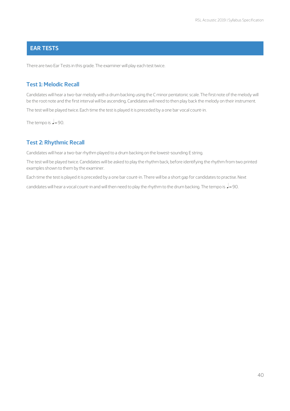## **EAR TESTS**

There are two Ear Tests in this grade. The examiner will play each test twice.

#### **Test 1: Melodic Recall**

Candidates will hear a two-bar melody with a drum backing using the C minor pentatonic scale. The first note of the melody will be the root note and the first interval will be ascending. Candidates will need to then play back the melody on their instrument.

The test will be played twice. Each time the test is played it is preceded by a one bar vocal count-in.

The tempo is  $=90$ .

#### **Test 2: Rhythmic Recall**

Candidates will hear a two-bar rhythm played to a drum backing on the lowest-sounding E string.

The test will be played twice. Candidates will be asked to play the rhythm back, before identifying the rhythm from two printed examples shown to them by the examiner.

Each time the test is played it is preceded by a one bar count-in. There will be a short gap for candidates to practise. Next

candidates will hear a vocal count-in and will then need to play the rhythm to the drum backing. The tempo is  $\Box$ =90.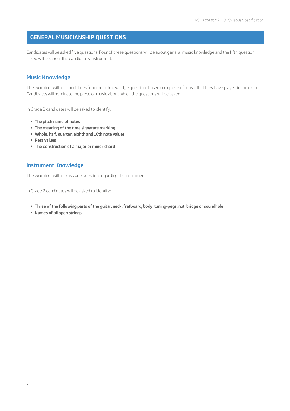#### **GENERAL MUSICIANSHIP QUESTIONS**

Candidates will be asked five questions. Four of these questions will be about general music knowledge and the fifth question asked will be about the candidate's instrument.

#### **Music Knowledge**

The examiner will ask candidates four music knowledge questions based on a piece of music that they have played in the exam. Candidates will nominate the piece of music about which the questions will be asked.

In Grade 2 candidates will be asked to identify:

- § **The pitch name of notes**
- § **The meaning of the time signature marking**
- § **Whole, half, quarter, eighth and 16th note values**
- § **Rest values**
- § **The construction of a major or minor chord**

#### **Instrument Knowledge**

The examiner will also ask one question regarding the instrument.

In Grade 2 candidates will be asked to identify:

- § **Three of the following parts of the guitar: neck, fretboard, body, tuning-pegs, nut, bridge or soundhole**
- § **Names of all open strings**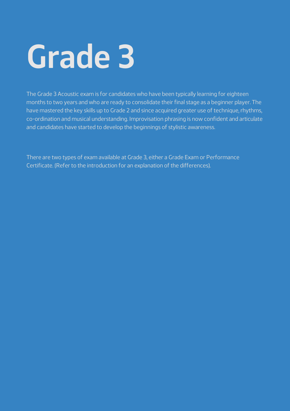# **Grade 3**

The Grade 3 Acoustic exam is for candidates who have been typically learning for eighteen months to two years and who are ready to consolidate their final stage as a beginner player. The have mastered the key skills up to Grade 2 and since acquired greater use of technique, rhythms, co-ordination and musical understanding. Improvisation phrasing is now confident and articulate and candidates have started to develop the beginnings of stylistic awareness.

There are two types of exam available at Grade 3, either a Grade Exam or Performance Certificate. (Refer to the introduction for an explanation of the differences).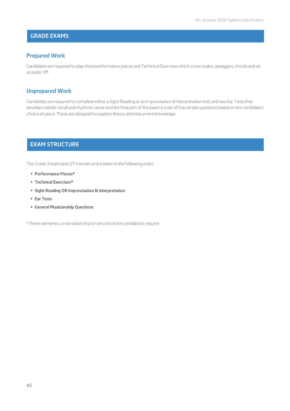## **GRADE EXAMS**

#### **Prepared Work**

Candidates are required to play *three* performance pieces and Technical Exercises which cover scales, arpeggios, chords and an acoustic riff.

#### **Unprepared Work**

Candidates are required to complete either a Sight Reading or an Improvisation & Interpretation test, and two Ear Tests that develop melodic recall and rhythmic sense and the final part of the exam is a set of five simple questions based on the candidate's choice of piece. These are designed to explore theory and instrument knowledge.

## **EXAM STRUCTURE**

The Grade 3 exam lasts 27 minutes and is taken in the following order:

- § **Performance Pieces\***
- § **Technical Exercises\***
- § **Sight Reading OR Improvisation & Interpretation**
- § **Ear Tests**
- § **General Musicianship Questions**

\**These elements can be taken first or second at the candidate's request*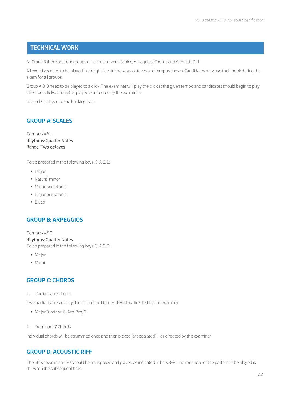#### **TECHNICAL WORK**

At Grade 3 there are four groups of technical work: Scales, Arpeggios, Chords and Acoustic Riff

All exercises need to be played in straight feel, in the keys, octaves and tempos shown. Candidates may use their book during the exam for all groups.

Group A & B need to be played to a click. The examiner will play the click at the given tempo and candidates should begin to play after four clicks. Group C is played as directed by the examiner.

Group D is played to the backing track

#### **GROUP A: SCALES**

Tempo:  $J=90$ Rhythms: Quarter Notes Range: Two octaves

To be prepared in the following keys: G, A & B:

- § Major
- § Natural minor
- § Minor pentatonic
- § Major pentatonic
- § Blues

## **GROUP B: ARPEGGIOS**

#### Tempo:  $J=90$

#### Rhythms: Quarter Notes

To be prepared in the following keys: G, A & B:

- Major
- Minor

#### **GROUP C: CHORDS**

1. Partial barre chords

Two partial barre voicings for each chord type - played as directed by the examiner.

- § Major & minor: G, Am, Bm, C
- 2. Dominant 7 Chords

Individual chords will be strummed once and then picked (arpeggiated) – as directed by the examiner

## **GROUP D: ACOUSTIC RIFF**

The riff shown in bar 1-2 should be transposed and played as indicated in bars 3-8. The root note of the pattern to be played is shown in the subsequent bars.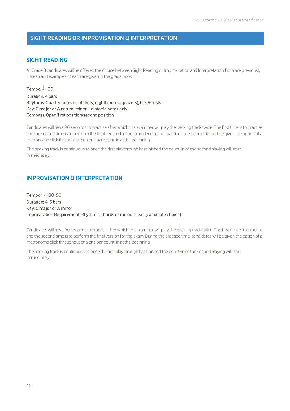#### **SIGHT READING OR IMPROVISATION & INTERPRETATION**

#### **SIGHT READING**

At Grade 3 candidates will be offered the choice between Sight Reading or Improvisation and Interpretation. Both are previously unseen and examples of each are given in the grade book

Tempo:  $=80$ Duration: 4 bars Rhythms: Quarter notes (crotchets) eighth notes (quavers), ties & rests Key: G major or A natural minor – diatonic notes only Compass: Open/first position/second position

Candidates will have 90 seconds to practise after which the examiner will play the backing track twice. The first time is to practise and the second time is to perform the final version for the exam. During the practice time, candidates will be given the option of a metronome click throughout or a one bar count-in at the beginning.

The backing track is continuous so once the first playthrough has finished the count-in of the second playing will start immediately.

#### **IMPROVISATION & INTERPRETATION**

Tempo: **2**=80-90 Duration: 4-6 bars Key: G major or A minor Improvisation Requirement: Rhythmic chords or melodic lead (candidate choice)

Candidates will have 90 seconds to practise after which the examiner will play the backing track twice. The first time is to practise and the second time is to perform the final version for the exam. During the practice time, candidates will be given the option of a metronome click throughout or a one bar count-in at the beginning.

The backing track is continuous so once the first playthrough has finished the count-in of the second playing will start immediately.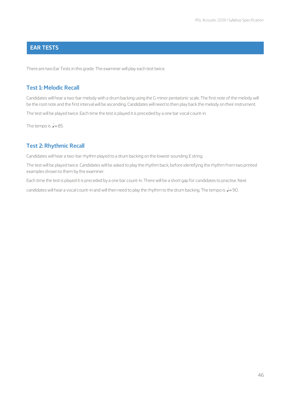## **EAR TESTS**

There are two Ear Tests in this grade. The examiner will play each test twice.

#### **Test 1: Melodic Recall**

Candidates will hear a two-bar melody with a drum backing using the G minor pentatonic scale. The first note of the melody will be the root note and the first interval will be ascending. Candidates will need to then play back the melody on their instrument.

The test will be played twice. Each time the test is played it is preceded by a one bar vocal count-in.

The tempo is  $=85$ .

#### **Test 2: Rhythmic Recall**

Candidates will hear a two-bar rhythm played to a drum backing on the lowest-sounding E string.

The test will be played twice. Candidates will be asked to play the rhythm back, before identifying the rhythm from two printed examples shown to them by the examiner.

Each time the test is played it is preceded by a one bar count-in. There will be a short gap for candidates to practise. Next

candidates will hear a vocal count-in and will then need to play the rhythm to the drum backing. The tempo is  $\Box$ =90.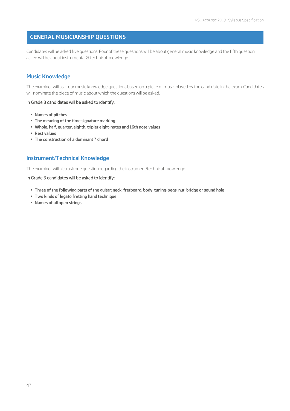#### **GENERAL MUSICIANSHIP QUESTIONS**

Candidates will be asked five questions. Four of these questions will be about general music knowledge and the fifth question asked will be about instrumental & technical knowledge.

#### **Music Knowledge**

The examiner will ask four music knowledge questions based on a piece of music played by the candidate in the exam. Candidates will nominate the piece of music about which the questions will be asked.

#### In Grade 3 candidates will be asked to identify:

- § **Names of pitches**
- § **The meaning of the time signature marking**
- § **Whole, half, quarter, eighth, triplet eight-notes and 16th note values**
- § **Rest values**
- § **The construction of a dominant 7 chord**

#### **Instrument/Technical Knowledge**

The examiner will also ask one question regarding the instrument/technical knowledge.

#### In Grade 3 candidates will be asked to identify:

- § **Three of the following parts of the guitar: neck, fretboard, body, tuning-pegs, nut, bridge or sound hole**
- § **Two kinds of legato fretting hand technique**
- § **Names of all open strings**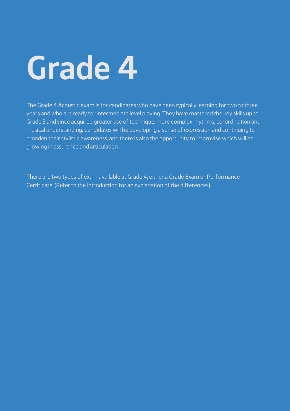# **Grade 4**

The Grade 4 Acoustic exam is for candidates who have been typically learning for two to three years and who are ready for intermediate level playing. They have mastered the key skills up to Grade 3 and since acquired greater use of technique, more complex rhythms, co-ordination and musical understanding. Candidates will be developing a sense of expression and continuing to broaden their stylistic awareness, and there is also the opportunity to improvise which will be growing in assurance and articulation.

There are two types of exam available at Grade 4, either a Grade Exam or Performance Certificate. (Refer to the Introduction for an explanation of the differences).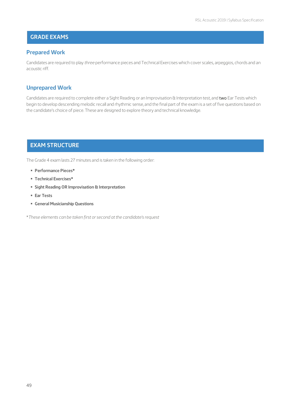## **GRADE EXAMS**

#### **Prepared Work**

Candidates are required to play *three* performance pieces and Technical Exercises which cover scales, arpeggios, chords and an acoustic riff.

#### **Unprepared Work**

Candidates are required to complete either a Sight Reading or an Improvisation & Interpretation test, and two Ear Tests which begin to develop descending melodic recall and rhythmic sense, and the final part of the exam is a set of five questions based on the candidate's choice of piece. These are designed to explore theory and technical knowledge.

# **EXAM STRUCTURE**

The Grade 4 exam lasts 27 minutes and is taken in the following order:

- § **Performance Pieces\***
- § **Technical Exercises\***
- § **Sight Reading OR Improvisation & Interpretation**
- § **Ear Tests**
- § **General Musicianship Questions**

\**These elements can be taken first or second at the candidate's request*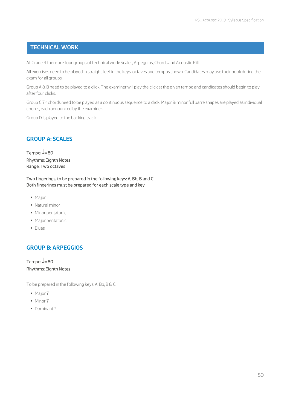#### **TECHNICAL WORK**

At Grade 4 there are four groups of technical work: Scales, Arpeggios, Chords and Acoustic Riff

All exercises need to be played in straight feel, in the keys, octaves and tempos shown. Candidates may use their book during the exam for all groups.

Group A & B need to be played to a click. The examiner will play the click at the given tempo and candidates should begin to play after four clicks.

Group C 7<sup>th</sup> chords need to be played as a continuous sequence to a click. Major & minor full barre shapes are played as individual chords, each announced by the examiner.

Group D is played to the backing track

## **GROUP A: SCALES**

Tempo:  $=80$ Rhythms: Eighth Notes Range: Two octaves

Two fingerings, to be prepared in the following keys: A, Bb, B and C Both fingerings must be prepared for each scale type and key

- Major
- § Natural minor
- § Minor pentatonic
- § Major pentatonic
- § Blues

## **GROUP B: ARPEGGIOS**

Tempo:  $=80$ Rhythms: Eighth Notes

To be prepared in the following keys: A, Bb, B & C

- § Major 7
- § Minor 7
- § Dominant 7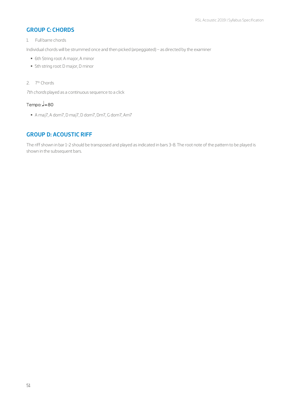## **GROUP C: CHORDS**

#### 1. Full barre chords

Individual chords will be strummed once and then picked (arpeggiated) – as directed by the examiner

- 6th String root: A major, A minor
- 5th string root: D major, D minor
- 2. 7th Chords

*7th chords* played as a continuous sequence to a click

# Tempo:  $J=80$

§ A maj7, A dom7, D maj7, D dom7, Dm7, G dom7, Am7

## **GROUP D: ACOUSTIC RIFF**

The riff shown in bar 1-2 should be transposed and played as indicated in bars 3-8. The root note of the pattern to be played is shown in the subsequent bars.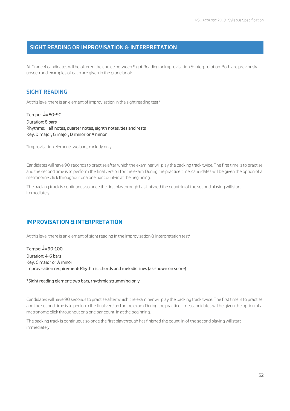#### **SIGHT READING OR IMPROVISATION & INTERPRETATION**

At Grade 4 candidates will be offered the choice between Sight Reading or Improvisation & Interpretation. Both are previously unseen and examples of each are given in the grade book

#### **SIGHT READING**

At this level there is an element of improvisation in the sight reading test\*

Tempo:  $J = 80 - 90$ Duration: 8 bars Rhythms: Half notes, quarter notes, eighth notes, ties and rests Key: D major, G major, D minor or A minor

\*Improvisation element: two bars, melody only

Candidates will have 90 seconds to practise after which the examiner will play the backing track twice. The first time is to practise and the second time is to perform the final version for the exam. During the practice time, candidates will be given the option of a metronome click throughout or a one bar count-in at the beginning.

The backing track is continuous so once the first playthrough has finished the count-in of the second playing will start immediately.

## **IMPROVISATION & INTERPRETATION**

At this level there is an element of sight reading in the Improvisation & Interpretation test\*

Tempo:  $=90-100$ Duration: 4-6 bars Key: G major or A minor Improvisation requirement: Rhythmic chords and melodic lines (as shown on score)

#### \*Sight reading element: two bars, rhythmic strumming only

Candidates will have 90 seconds to practise after which the examiner will play the backing track twice. The first time is to practise and the second time is to perform the final version for the exam. During the practice time, candidates will be given the option of a metronome click throughout or a one bar count-in at the beginning.

The backing track is continuous so once the first playthrough has finished the count-in of the second playing will start immediately.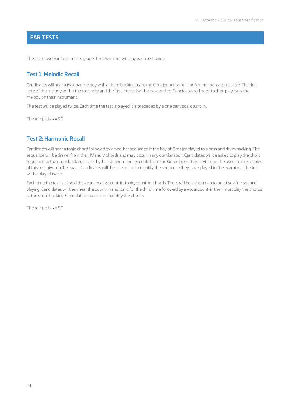## **EAR TESTS**

There are two Ear Tests in this grade. The examiner will play each test twice.

#### **Test 1: Melodic Recall**

Candidates will hear a two-bar melody with a drum backing using the C major pentatonic or B minor pentatonic scale. The first note of the melody will be the root note and the first interval will be descending. Candidates will need to then play back the melody on their instrument.

The test will be played twice. Each time the test is played it is preceded by a one bar vocal count-in.

The tempo is  $=90$ 

#### **Test 2: Harmonic Recall**

Candidates will hear a tonic chord followed by a two-bar sequence in the key of C major played to a bass and drum backing. The sequence will be drawn from the I, IV and V chords and may occur in any combination. Candidates will be asked to play the chord sequence to the drum backing in the rhythm shown in the example from the Grade book. This rhythm will be used in all examples of this test given in the exam. Candidates will then be asked to identify the sequence they have played to the examiner. The test will be played twice.

Each time the test is played the sequence is: count-in, tonic, count-in, chords. There will be a short gap to practise after second playing. Candidates will then hear the count-in and tonic for the third time followed by a vocal count-in then must play the chords to the drum backing. Candidates should then identify the chords.

The tempo is  $J=90$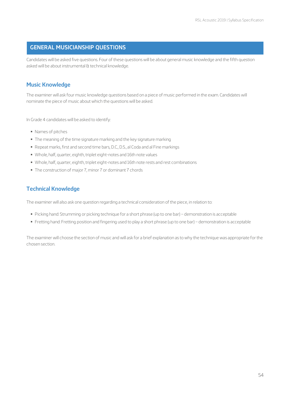#### **GENERAL MUSICIANSHIP QUESTIONS**

Candidates will be asked five questions. Four of these questions will be about general music knowledge and the fifth question asked will be about instrumental & technical knowledge.

## **Music Knowledge**

The examiner will ask four music knowledge questions based on a piece of music performed in the exam. Candidates will nominate the piece of music about which the questions will be asked.

In Grade 4 candidates will be asked to identify:

- § Names of pitches
- § The meaning of the time signature marking and the key signature marking
- § Repeat marks, first and second time bars, D.C., D.S., al Coda and al Fine markings
- § Whole, half, quarter, eighth, triplet eight-notes and 16th note values
- § Whole, half, quarter, eighth, triplet eight-notes and 16th note rests and rest combinations
- § The construction of major 7, minor 7 or dominant 7 chords

## **Technical Knowledge**

The examiner will also ask one question regarding a technical consideration of the piece, in relation to:

- § Picking hand: Strumming or picking technique for a short phrase (up to one bar) demonstration is acceptable
- § Fretting hand: Fretting position and fingering used to play a short phrase (up to one bar) demonstration is acceptable

The examiner will choose the section of music and will ask for a brief explanation as to why the technique was appropriate for the chosen section.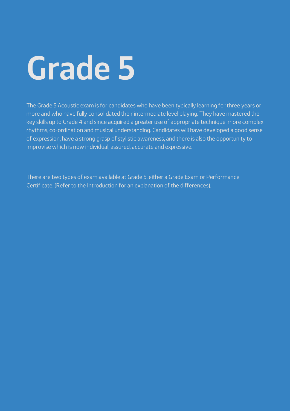# **Grade 5**

The Grade 5 Acoustic exam is for candidates who have been typically learning for three years or more and who have fully consolidated their intermediate level playing. They have mastered the key skills up to Grade 4 and since acquired a greater use of appropriate technique, more complex rhythms, co-ordination and musical understanding. Candidates will have developed a good sense of expression, have a strong grasp of stylistic awareness, and there is also the opportunity to improvise which is now individual, assured, accurate and expressive.

There are two types of exam available at Grade 5, either a Grade Exam or Performance Certificate. (Refer to the Introduction for an explanation of the differences).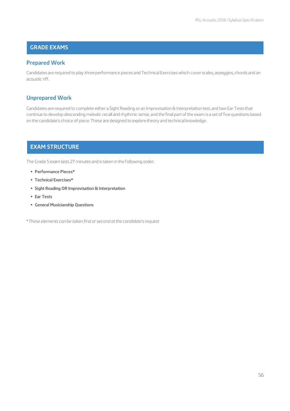## **GRADE EXAMS**

#### **Prepared Work**

Candidates are required to play *three* performance pieces and Technical Exercises which cover scales, arpeggios, chords and an acoustic riff.

#### **Unprepared Work**

Candidates are required to complete either a Sight Reading or an Improvisation & Interpretation test, and two Ear Tests that continue to develop descending melodic recall and rhythmic sense, and the final part of the exam is a set of five questions based on the candidate's choice of piece. These are designed to explore theory and technical knowledge.

# **EXAM STRUCTURE**

The Grade 5 exam lasts 27 minutes and is taken in the following order:

- § **Performance Pieces\***
- § **Technical Exercises\***
- § **Sight Reading OR Improvisation & Interpretation**
- § **Ear Tests**
- § **General Musicianship Questions**

\**These elements can be taken first or second at the candidate's request*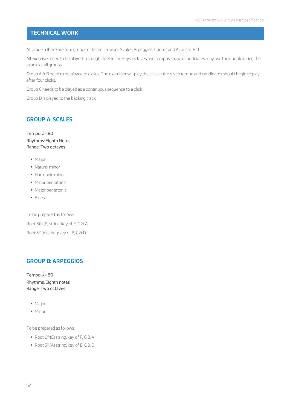## **TECHNICAL WORK**

At Grade 5 there are four groups of technical work: Scales, Arpeggios, Chords and Acoustic Riff

All exercises need to be played in straight feel, in the keys, octaves and tempos shown. Candidates may use their book during the exam for all groups.

Group A & B need to be played to a click. The examiner will play the click at the given tempo and candidates should begin to play after four clicks.

Group C needs to be played as a continuous sequence to a click

Group D is played to the backing track

#### **GROUP A: SCALES**

Tempo:  $=80$ Rhythms: Eighth Notes Range: Two octaves

- § Major
- § Natural minor
- § Harmonic minor
- § Minor pentatonic
- § Major pentatonic
- § Blues

To be prepared as follows: Root 6th (E) string: key of F, G & A Root 5<sup>th</sup> (A) string: key of B, C & D

## **GROUP B: ARPEGGIOS**

Tempo:  $J=80$ Rhythms: Eighth notes Range: Two octaves

- Major
- § Minor

To be prepared as follows:

- Root 6<sup>th</sup> (E) string: key of F, G & A
- Root 5<sup>th</sup> (A) string: key of B, C & D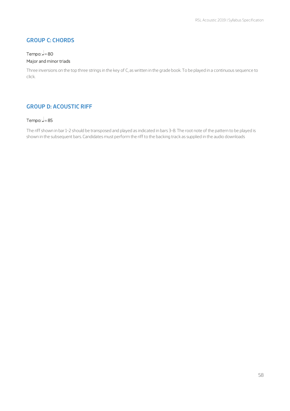## **GROUP C: CHORDS**

## Tempo:  $=80$

#### Major and minor triads

Three inversions on the top three strings in the key of C, as written in the grade book. To be played in a continuous sequence to click.

## **GROUP D: ACOUSTIC RIFF**

#### Tempo:  $=85$

The riff shown in bar 1-2 should be transposed and played as indicated in bars 3-8. The root note of the pattern to be played is shown in the subsequent bars. Candidates must perform the riff to the backing track as supplied in the audio downloads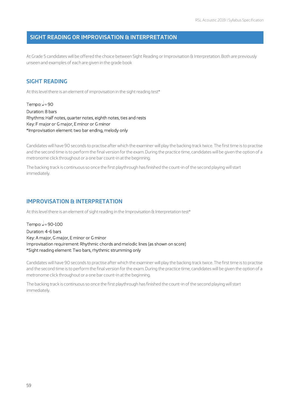#### **SIGHT READING OR IMPROVISATION & INTERPRETATION**

At Grade 5 candidates will be offered the choice between Sight Reading or Improvisation & Interpretation. Both are previously unseen and examples of each are given in the grade book

#### **SIGHT READING**

At this level there is an element of improvisation in the sight reading test\*

Tempo:  $=90$ Duration: 8 bars Rhythms: Half notes, quarter notes, eighth notes, ties and rests Key: F major or G major, E minor or G minor \*Improvisation element: two bar ending, melody only

Candidates will have 90 seconds to practise after which the examiner will play the backing track twice. The first time is to practise and the second time is to perform the final version for the exam. During the practice time, candidates will be given the option of a metronome click throughout or a one bar count-in at the beginning.

The backing track is continuous so once the first playthrough has finished the count-in of the second playing will start immediately.

#### **IMPROVISATION & INTERPRETATION**

At this level there is an element of sight reading in the Improvisation & Interpretation test\*

Tempo:  $=90-100$ Duration: 4-6 bars Key: A major, G major, E minor or G minor Improvisation requirement: Rhythmic chords and melodic lines (as shown on score) \*Sight reading element: Two bars, rhythmic strumming only

Candidates will have 90 seconds to practise after which the examiner will play the backing track twice. The first time is to practise and the second time is to perform the final version for the exam. During the practice time, candidates will be given the option of a metronome click throughout or a one bar count-in at the beginning.

The backing track is continuous so once the first playthrough has finished the count-in of the second playing will start immediately.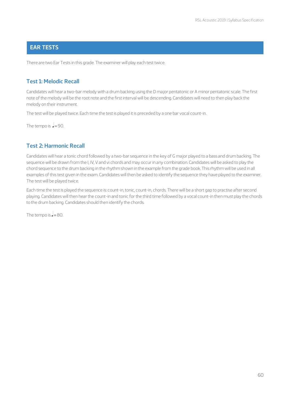## **EAR TESTS**

There are two Ear Tests in this grade. The examiner will play each test twice.

#### **Test 1: Melodic Recall**

Candidates will hear a two-bar melody with a drum backing using the D major pentatonic or A minor pentatonic scale. The first note of the melody will be the root note and the first interval will be descending. Candidates will need to then play back the melody on their instrument.

The test will be played twice. Each time the test is played it is preceded by a one bar vocal count-in.

The tempo is  $=90$ .

#### **Test 2: Harmonic Recall**

Candidates will hear a tonic chord followed by a two-bar sequence in the key of G major played to a bass and drum backing. The sequence will be drawn from the I, IV, V and vi chords and may occur in any combination. Candidates will be asked to play the chord sequence to the drum backing in the rhythm shown in the example from the grade book. This rhythm will be used in all examples of this test given in the exam. Candidates will then be asked to identify the sequence they have played to the examiner. The test will be played twice.

Each time the test is played the sequence is: count-in, tonic, count-in, chords. There will be a short gap to practise after second playing. Candidates will then hear the count-in and tonic for the third time followed by a vocal count-in then must play the chords to the drum backing. Candidates should then identify the chords.

The tempo is  $=80$ .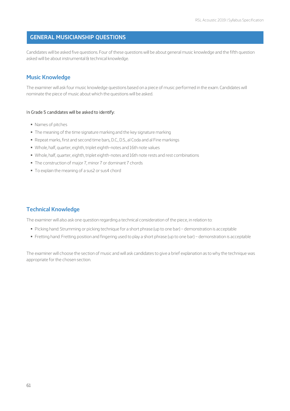#### **GENERAL MUSICIANSHIP QUESTIONS**

Candidates will be asked five questions. Four of these questions will be about general music knowledge and the fifth question asked will be about instrumental & technical knowledge.

#### **Music Knowledge**

The examiner will ask four music knowledge questions based on a piece of music performed in the exam. Candidates will nominate the piece of music about which the questions will be asked.

#### In Grade 5 candidates will be asked to identify:

- § Names of pitches
- § The meaning of the time signature marking and the key signature marking
- § Repeat marks, first and second time bars, D.C., D.S., al Coda and al Fine markings
- § Whole, half, quarter, eighth, triplet eighth-notes and 16th note values
- § Whole, half, quarter, eighth, triplet eighth-notes and 16th note rests and rest combinations
- § The construction of major 7, minor 7 or dominant 7 chords
- § To explain the meaning of a sus2 or sus4 chord

#### **Technical Knowledge**

The examiner will also ask one question regarding a technical consideration of the piece, in relation to:

- § Picking hand: Strumming or picking technique for a short phrase (up to one bar) demonstration is acceptable
- § Fretting hand: Fretting position and fingering used to play a short phrase (up to one bar) demonstration is acceptable

The examiner will choose the section of music and will ask candidates to give a brief explanation as to why the technique was appropriate for the chosen section.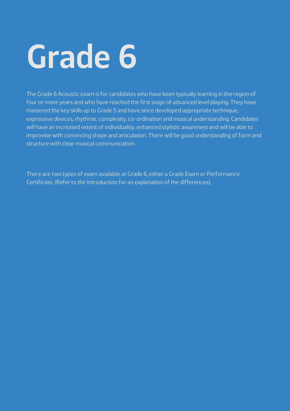# **Grade 6**

The Grade 6 Acoustic exam is for candidates who have been typically learning in the region of four or more years and who have reached the first stage of advanced level playing. They have mastered the key skills up to Grade 5 and have since developed appropriate technique, expressive devices, rhythmic complexity, co-ordination and musical understanding. Candidates will have an increased extent of individuality, enhanced stylistic awareness and will be able to improvise with convincing shape and articulation. There will be good understanding of form and structure with clear musical communication.

There are two types of exam available at Grade 6, either a Grade Exam or Performance Certificate. (Refer to the Introduction for an explanation of the differences).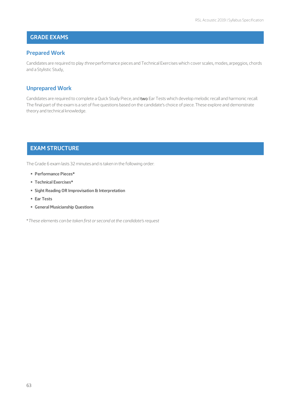## **GRADE EXAMS**

#### **Prepared Work**

Candidates are required to play *three* performance pieces and Technical Exercises which cover scales, modes, arpeggios, chords and a Stylistic Study,

#### **Unprepared Work**

Candidates are required to complete a Quick Study Piece, and two Ear Tests which develop melodic recall and harmonic recall. The final part of the exam is a set of five questions based on the candidate's choice of piece. These explore and demonstrate theory and technical knowledge.

## **EXAM STRUCTURE**

The Grade 6 exam lasts 32 minutes and is taken in the following order:

- § **Performance Pieces\***
- § **Technical Exercises\***
- § **Sight Reading OR Improvisation & Interpretation**
- § **Ear Tests**
- § **General Musicianship Questions**

\**These elements can be taken first or second at the candidate's request*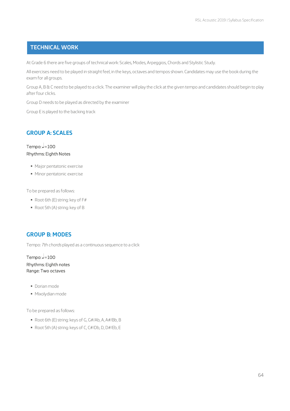#### **TECHNICAL WORK**

At Grade 6 there are five groups of technical work: Scales, Modes, Arpeggios, Chords and Stylistic Study.

All exercises need to be played in straight feel, in the keys, octaves and tempos shown. Candidates may use the book during the exam for all groups.

Group A, B & C need to be played to a click. The examiner will play the click at the given tempo and candidates should begin to play after four clicks.

Group D needs to be played as directed by the examiner

Group E is played to the backing track

## **GROUP A: SCALES**

Tempo:  $J=100$ Rhythms: Eighth Notes

- § Major pentatonic exercise
- § Minor pentatonic exercise

To be prepared as follows:

- § Root 6th (E) string: key of F#
- § Root 5th (A) string: key of B

## **GROUP B: MODES**

Tempo: *7th chords* played as a continuous sequence to a click

Tempo:  $=100$ Rhythms: Eighth notes Range: Two octaves

- § Dorian mode
- § Mixolydian mode

To be prepared as follows:

- § Root 6th (E) string: keys of G, G#/Ab, A, A#/Bb, B
- Root 5th (A) string: keys of C, C#/Db, D, D#/Eb, E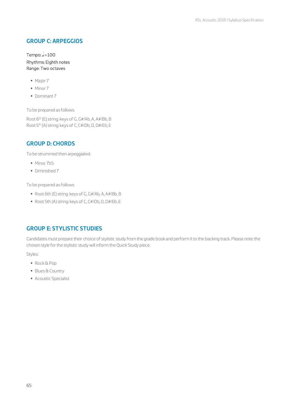## **GROUP C: ARPEGGIOS**

#### Tempo:  $\sqrt{=}100$ Rhythms: Eighth notes Range: Two octaves

- § Major 7
- § Minor 7
- § Dominant 7

To be prepared as follows:

Root 6th (E) string: keys of G, G#/Ab, A, A#/Bb, B Root 5th (A) string: keys of C, C#/Db, D, D#/Eb, E

#### **GROUP D: CHORDS**

To be strummed then arpeggiated.

- § Minor 7b5
- § Diminished 7

To be prepared as follows:

- § Root 6th (E) string: keys of G, G#/Ab, A, A#/Bb, B
- Root 5th (A) string: keys of C, C#/Db, D, D#/Eb, E

## **GROUP E: STYLISTIC STUDIES**

Candidates must prepare their choice of stylistic study from the grade book and perform it to the backing track. Please note: the chosen style for the stylistic study will inform the Quick Study piece.

Styles:

- § Rock & Pop
- § Blues & Country
- § Acoustic Specialist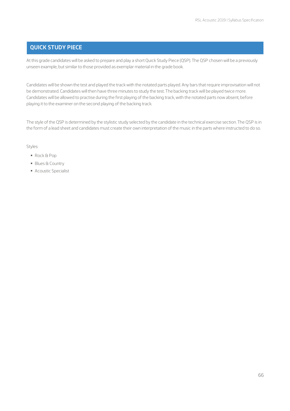## **QUICK STUDY PIECE**

At this grade candidates will be asked to prepare and play a short Quick Study Piece (QSP). The QSP chosen will be a previously unseen example, but similar to those provided as exemplar material in the grade book.

Candidates will be shown the test and played the track with the notated parts played. Any bars that require improvisation will not be demonstrated. Candidates will then have three minutes to study the test. The backing track will be played twice more. Candidates will be allowed to practise during the first playing of the backing track, with the notated parts now absent, before playing it to the examiner on the second playing of the backing track.

The style of the QSP is determined by the stylistic study selected by the candidate in the technical exercise section. The QSP is in the form of a lead sheet and candidates must create their own interpretation of the music in the parts where instructed to do so.

#### Styles:

- § Rock & Pop
- § Blues & Country
- Acoustic Specialist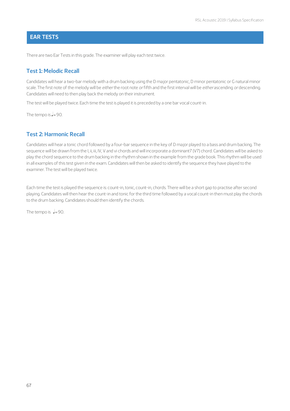#### **EAR TESTS**

There are two Ear Tests in this grade. The examiner will play each test twice.

#### **Test 1: Melodic Recall**

Candidates will hear a two-bar melody with a drum backing using the D major pentatonic, D minor pentatonic or G natural minor scale. The first note of the melody will be *either* the root note *or* fifth and the first interval will be *either* ascending *or* descending. Candidates will need to then play back the melody on their instrument.

The test will be played twice. Each time the test is played it is preceded by a one bar vocal count-in.

The tempo is  $=90$ .

#### **Test 2: Harmonic Recall**

Candidates will hear a tonic chord followed by a four-bar sequence in the key of D major played to a bass and drum backing. The sequence will be drawn from the I, ii, iii, IV, V and vi chords and will incorporate a dominant7 (V7) chord. Candidates will be asked to play the chord sequence to the drum backing in the rhythm shown in the example from the grade book. This rhythm will be used in all examples of this test given in the exam. Candidates will then be asked to identify the sequence they have played to the examiner. The test will be played twice.

Each time the test is played the sequence is: count-in, tonic, count-in, chords. There will be a short gap to practise after second playing. Candidates will then hear the count-in and tonic for the third time followed by a vocal count-in then must play the chords to the drum backing. Candidates should then identify the chords.

The tempo is  $\frac{1}{2}$ =90.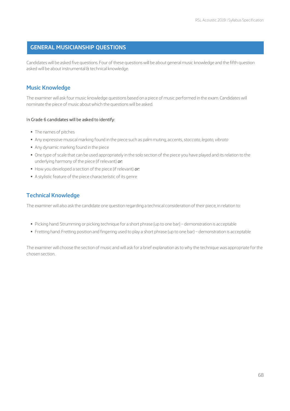## **GENERAL MUSICIANSHIP QUESTIONS**

Candidates will be asked five questions. Four of these questions will be about general music knowledge and the fifth question asked will be about instrumental & technical knowledge.

#### **Music Knowledge**

The examiner will ask four music knowledge questions based on a piece of music performed in the exam. Candidates will nominate the piece of music about which the questions will be asked.

#### In Grade 6 candidates will be asked to identify:

- § The names of pitches
- § Any expressive musical marking found in the piece such as palm muting, accents, *staccato*, *legato*, *vibrato*
- § Any dynamic marking found in the piece
- § One type of scale that can be used appropriately in the solo section of the piece you have played and its relation to the underlying harmony of the piece (if relevant) *or:*
- § How you developed a section of the piece (if relevant) *or:*
- § A stylistic feature of the piece characteristic of its genre

## **Technical Knowledge**

The examiner will also ask the candidate one question regarding a technical consideration of their piece, in relation to:

- § Picking hand: Strumming or picking technique for a short phrase (up to one bar) demonstration is acceptable
- § Fretting hand: Fretting position and fingering used to play a short phrase (up to one bar) demonstration is acceptable

The examiner will choose the section of music and will ask for a brief explanation as to why the technique was appropriate for the chosen section.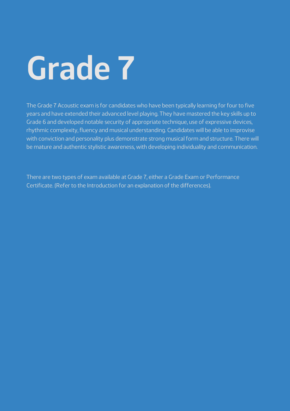# **Grade 7**

The Grade 7 Acoustic exam is for candidates who have been typically learning for four to five years and have extended their advanced level playing. They have mastered the key skills up to Grade 6 and developed notable security of appropriate technique, use of expressive devices, rhythmic complexity, fluency and musical understanding. Candidates will be able to improvise with conviction and personality plus demonstrate strong musical form and structure. There will be mature and authentic stylistic awareness, with developing individuality and communication.

There are two types of exam available at Grade 7, either a Grade Exam or Performance Certificate. (Refer to the Introduction for an explanation of the differences).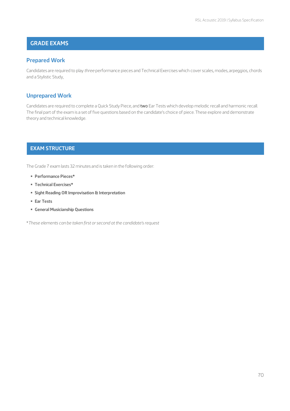# **GRADE EXAMS**

#### **Prepared Work**

Candidates are required to play *three* performance pieces and Technical Exercises which cover scales, modes, arpeggios, chords and a Stylistic Study,

#### **Unprepared Work**

Candidates are required to complete a Quick Study Piece, and two Ear Tests which develop melodic recall and harmonic recall. The final part of the exam is a set of five questions based on the candidate's choice of piece. These explore and demonstrate theory and technical knowledge.

#### **EXAM STRUCTURE**

The Grade 7 exam lasts 32 minutes and is taken in the following order:

- § **Performance Pieces\***
- § **Technical Exercises\***
- § **Sight Reading OR Improvisation & Interpretation**
- § **Ear Tests**
- § **General Musicianship Questions**

\**These elements can be taken first or second at the candidate's request*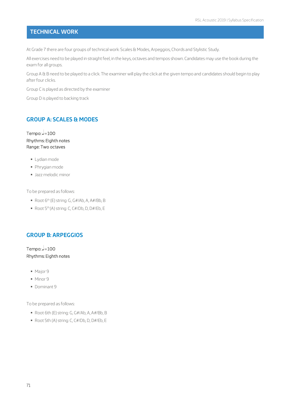## **TECHNICAL WORK**

At Grade 7 there are four groups of technical work: Scales & Modes, Arpeggios, Chords and Stylistic Study.

All exercises need to be played in straight feel, in the keys, octaves and tempos shown. Candidates may use the book during the exam for all groups.

Group A & B need to be played to a click. The examiner will play the click at the given tempo and candidates should begin to play after four clicks.

Group C is played as directed by the examiner

Group D is played to backing track

#### **GROUP A: SCALES & MODES**

Tempo:  $J=100$ Rhythms: Eighth notes Range: Two octaves

- § Lydian mode
- § Phrygian mode
- § Jazz melodic minor

To be prepared as follows:

- Root 6<sup>th</sup> (E) string: G, G#/Ab, A, A#/Bb, B
- Root 5<sup>th</sup> (A) string: C, C#/Db, D, D#/Eb, E

#### **GROUP B: ARPEGGIOS**

Tempo:  $=100$ Rhythms: Eighth notes

- § Major 9
- § Minor 9
- § Dominant 9

To be prepared as follows:

- § Root 6th (E) string: G, G#/Ab, A, A#/Bb, B
- § Root 5th (A) string: C, C#/Db, D, D#/Eb, E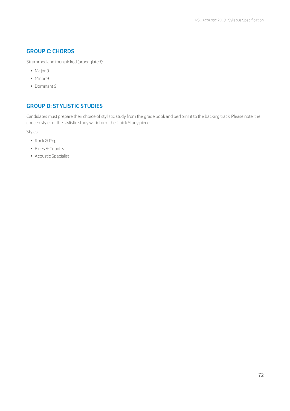#### **GROUP C: CHORDS**

Strummed and then picked (arpeggiated):

- § Major 9
- § Minor 9
- § Dominant 9

## **GROUP D: STYLISTIC STUDIES**

Candidates must prepare their choice of stylistic study from the grade book and perform it to the backing track. Please note: the chosen style for the stylistic study will inform the Quick Study piece.

Styles:

- § Rock & Pop
- § Blues & Country
- § Acoustic Specialist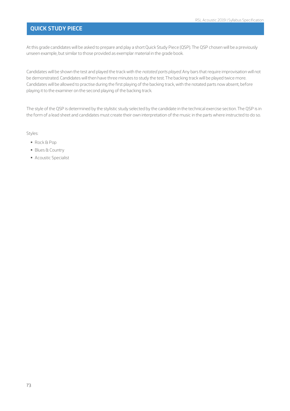#### **QUICK STUDY PIECE**

At this grade candidates will be asked to prepare and play a short Quick Study Piece (QSP). The QSP chosen will be a previously unseen example, but similar to those provided as exemplar material in the grade book.

Candidates will be shown the test and played the track with the *notated parts played*. Any bars that require improvisation will not be demonstrated. Candidates will then have three minutes to study the test. The backing track will be played twice more. Candidates will be allowed to practise during the first playing of the backing track, with the notated parts now absent, before playing it to the examiner on the second playing of the backing track.

The style of the QSP is determined by the stylistic study selected by the candidate in the technical exercise section. The QSP is in the form of a lead sheet and candidates must create their own interpretation of the music in the parts where instructed to do so.

Styles:

- § Rock & Pop
- § Blues & Country
- Acoustic Specialist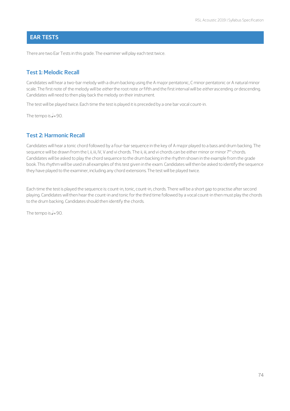#### **EAR TESTS**

There are two Ear Tests in this grade. The examiner will play each test twice.

#### **Test 1: Melodic Recall**

Candidates will hear a two-bar melody with a drum backing using the A major pentatonic, C minor pentatonic or A natural minor scale. The first note of the melody will be *either* the root note *or* fifth and the first interval will be *either* ascending *or* descending. Candidates will need to then play back the melody on their instrument.

The test will be played twice. Each time the test is played it is preceded by a one bar vocal count-in.

The tempo is  $=90$ .

#### **Test 2: Harmonic Recall**

Candidates will hear a tonic chord followed by a four-bar sequence in the key of A major played to a bass and drum backing. The sequence will be drawn from the I, ii, iii, IV, V and vi chords. The ii, iii, and vi chords can be either minor or minor 7<sup>th</sup> chords. Candidates will be asked to play the chord sequence to the drum backing in the rhythm shown in the example from the grade book. This rhythm will be used in all examples of this test given in the exam. Candidates will then be asked to identify the sequence they have played to the examiner, including any chord extensions. The test will be played twice.

Each time the test is played the sequence is: count-in, tonic, count-in, chords. There will be a short gap to practise after second playing. Candidates will then hear the count-in and tonic for the third time followed by a vocal count-in then must play the chords to the drum backing. Candidates should then identify the chords.

The tempo is  $=90$ .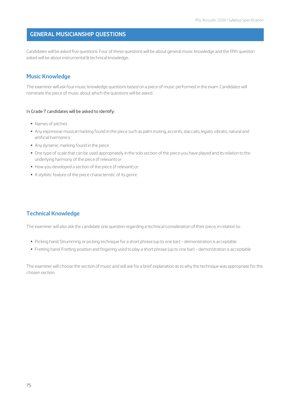#### **GENERAL MUSICIANSHIP QUESTIONS**

Candidates will be asked five questions. Four of these questions will be about general music knowledge and the fifth question asked will be about instrumental & technical knowledge.

#### **Music Knowledge**

The examiner will ask four music knowledge questions based on a piece of music performed in the exam. Candidates will nominate the piece of music about which the questions will be asked.

#### In Grade 7 candidates will be asked to identify:

- § Names of pitches
- § Any expressive musical marking found in the piece such as palm muting, accents, staccato, legato, vibrato, natural and artificial harmonics
- § Any dynamic marking found in the piece
- § One type of scale that can be used appropriately in the solo section of the piece you have played and its relation to the underlying harmony of the piece (if relevant) or:
- How you developed a section of the piece (if relevant) or:
- § A stylistic feature of the piece characteristic of its genre

#### **Technical Knowledge**

The examiner will also ask the candidate one question regarding a technical consideration of their piece, in relation to:

- § Picking hand: Strumming or picking technique for a short phrase (up to one bar) demonstration is acceptable
- § Fretting hand: Fretting position and fingering used to play a short phrase (up to one bar) demonstration is acceptable

The examiner will choose the section of music and will ask for a brief explanation as to why the technique was appropriate for the chosen section.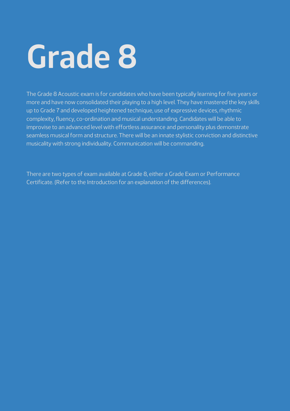# **Grade 8**

The Grade 8 Acoustic exam is for candidates who have been typically learning for five years or more and have now consolidated their playing to a high level. They have mastered the key skills up to Grade 7 and developed heightened technique, use of expressive devices, rhythmic complexity, fluency, co-ordination and musical understanding. Candidates will be able to improvise to an advanced level with effortless assurance and personality plus demonstrate seamless musical form and structure. There will be an innate stylistic conviction and distinctive musicality with strong individuality. Communication will be commanding.

There are two types of exam available at Grade 8, either a Grade Exam or Performance Certificate. (Refer to the Introduction for an explanation of the differences).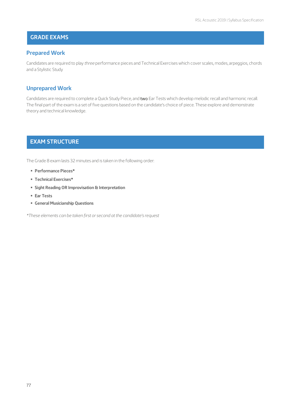#### **GRADE EXAMS**

#### **Prepared Work**

and a Stylistic Study Candidates are required to play *three* performance pieces and Technical Exercises which cover scales, modes, arpeggios, chords

# **Unprepared Work**

The final part of the exam is a set of five questions based on the candidate's choice of piece. These explore and demonstrate Candidates are required to complete a Quick Study Piece, and two Ear Tests which develop melodic recall and harmonic recall. theory and technical knowledge.

#### **EXAM STRUCTURE GRADE EXAMS**

The Grade 8 exam lasts 32 minutes and is taken in the following order:

**Performance Pieces\*** 

**GRADE EXAMS**

- § **Technical Exercises\***
- **E** Sight Reading OR Improvisation & Interpretation
- § **Ear Tests**
- **EXAM STRUCTURE E** General Musicianship Questions

**GRADE EXAMS** *\*These elements can be taken first or second at the candidate's request*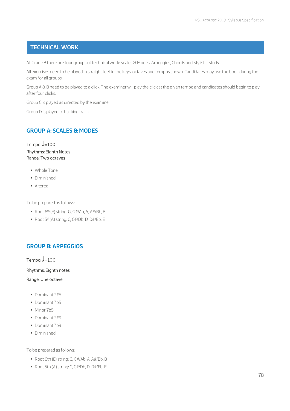#### **TECHNICAL WORK**

At Grade 8 there are four groups of technical work: Scales & Modes, Arpeggios, Chords and Stylistic Study.

exam for all groups. All exercises need to be played in straight feel, in the keys, octaves and tempos shown. Candidates may use the book during the

after four clicks. Group A & B need to be played to a click. The examiner will play the click at the given tempo and candidates should begin to play

Group C is played as directed by the examiner

Group D is played to backing track

#### **GROUP A: SCALES & MODES**

**Tempo: -= 100** Range: Two octaves Rhythms: Eighth Notes

- § Whole Tone
- **•** Diminished
- § Altered

To be prepared as follows:

- Root 6<sup>th</sup> (E) string: G, G#/Ab, A, A#/Bb, B
- Root 5<sup>th</sup> (A) string: C, C#/Db, D, D#/Eb, E

#### **GROUP B: ARPEGGIOS**

**Tempo: J=100** 

Rhythms: Eighth notes

Range: One octave

- **Dominant 7#5**
- § Dominant 7b5
- **Minor 7b5**
- § Dominant 7#9
- **Dominant 7b9**
- § Diminished

To be prepared as follows:

- Root 6th (E) string: G, G#/Ab, A, A#/Bb, B
- § Root 5th (A) string: C, C#/Db, D, D#/Eb, E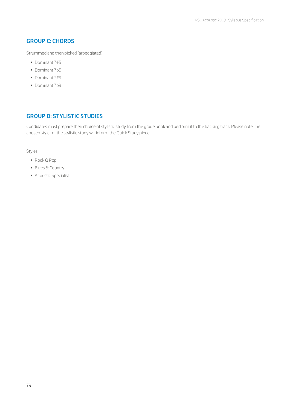#### **GROUP C: CHORDS**

Strummed and then picked (arpeggiated)

- § Dominant 7#5
- § Dominant 7b5
- § Dominant 7#9
- § Dominant 7b9

#### **GROUP D: STYLISTIC STUDIES**

Candidates must prepare their choice of stylistic study from the grade book and perform it to the backing track. Please note: the chosen style for the stylistic study will inform the Quick Study piece.

Styles:

- § Rock & Pop
- § Blues & Country
- § Acoustic Specialist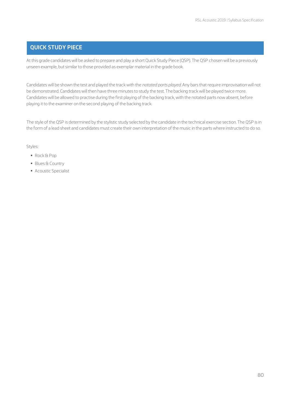#### **QUICK STUDY PIECE**

At this grade candidates will be asked to prepare and play a short Quick Study Piece (QSP). The QSP chosen will be a previously<br>unseen example but similar to those nravidad as exampler material in the exade book. unseen example, but similar to those provided as exemplar material in the grade book.

de demonstrated. Candidates will thermave three mindtes to stady the test. The sacking track will be played twice<br>Candidates will be allowed to practise during the first playing of the backing track, with the notated parts Candidates will be shown the test and played the track with the *notated parts played*. Any bars that require improvisation will not be demonstrated. Candidates will then have three minutes to study the test. The backing track will be played twice more. playing it to the examiner on the second playing of the backing track.

the form of a lead sheet and candidates must create their own interpretation of the music in the parts where instructed to do so.<br>. The style of the QSP is determined by the stylistic study selected by the candidate in the technical exercise section. The QSP is in

#### Styles:

- § Rock & Pop
- **Blues & Country**
- § Acoustic Specialist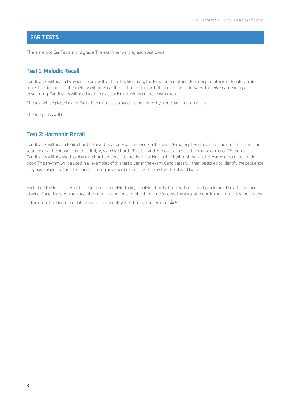#### **EAR TESTS**

There are two Ear Tests in this grade. The examiner will play each test twice.

### **Test 1: Melodic Recall**

**EAR TESTS** scale. The first note of the melody will be *either* the root note, third *or* fifth and the first interval will be *either* ascending *or* Candidates will hear a two-bar melody with a drum backing using the E major pentatonic, F minor pentatonic or B natural minor descending. Candidates will need to then play back the melody on their instrument.

The test will be played twice. Each time the test is played it is preceded by a one bar vocal count-in.

**EAR TESTS** The tempo is  $=90$ .

#### **Test 2: Harmonic Recall**

sequence will be drawn from the I, ii, iii, IV, V and vi chords. The ii, iii, and vi chords can be either major or major 7<sup>th</sup> chords. they have played to the examiner, including any chord extensions. The test will be played twice. Candidates will hear a tonic chord followed by a four-bar sequence in the key of E major played to a bass and drum backing. The Candidates will be asked to play the chord sequence to the drum backing in the rhythm shown in the example from the grade book. This rhythm will be used in all examples of this test given in the exam. Candidates will then be asked to identify the sequence

Each time the test is played the sequence is: count-in, tonic, count-in, chords. There will be a short gap to practise after second playing. Candidates will then hear the count-in and tonic for the third time followed by a vocal count-in then must play the chords

to the drum backing. Candidates should then identify the chords. The tempo is **J**=90.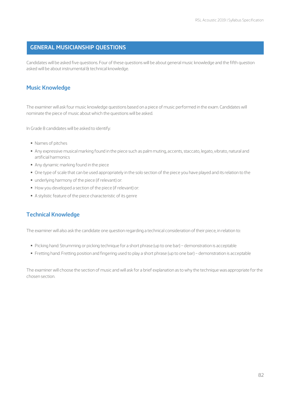#### **GENERAL MUSICIANSHIP QUESTIONS**

Candidates will be asked five questions. Four of these questions will be about general music knowledge and the fifth question asked will be about instrumental & technical knowledge.

#### **Music Knowledge**

**GENERAL MUSICIANSHIP QUESTIONS** nominate the piece of music about which the questions will be asked. The examiner will ask four music knowledge questions based on a piece of music performed in the exam. Candidates will

In Grade 8 candidates will be asked to identify:

- **Names of pitches**
- § Any expressive musical marking found in the piece such as palm muting, accents, staccato, legato, vibrato, natural and artificial harmonics
- Any dynamic marking found in the piece<br>■ Any dynamic marking found in the piece
- § One type of scale that can be used appropriately in the solo section of the piece you have played and its relation to the
- **•** underlying harmony of the piece (if relevant) or:
- § How you developed a section of the piece (if relevant) or:
- **A** stylistic feature of the piece characteristic of its genre

# **Technical Knowledge**

The examiner will also ask the candidate one question regarding a technical consideration of their piece, in relation to:

- Picking hand: Strumming or picking technique for a short phrase (up to one bar) demonstration is acceptable
- § Fretting hand: Fretting position and fingering used to play a short phrase (up to one bar) demonstration is acceptable

chosen section. The examiner will choose the section of music and will ask for a brief explanation as to why the technique was appropriate for the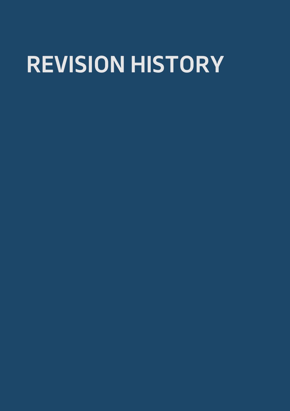# **REVISION HISTORY**